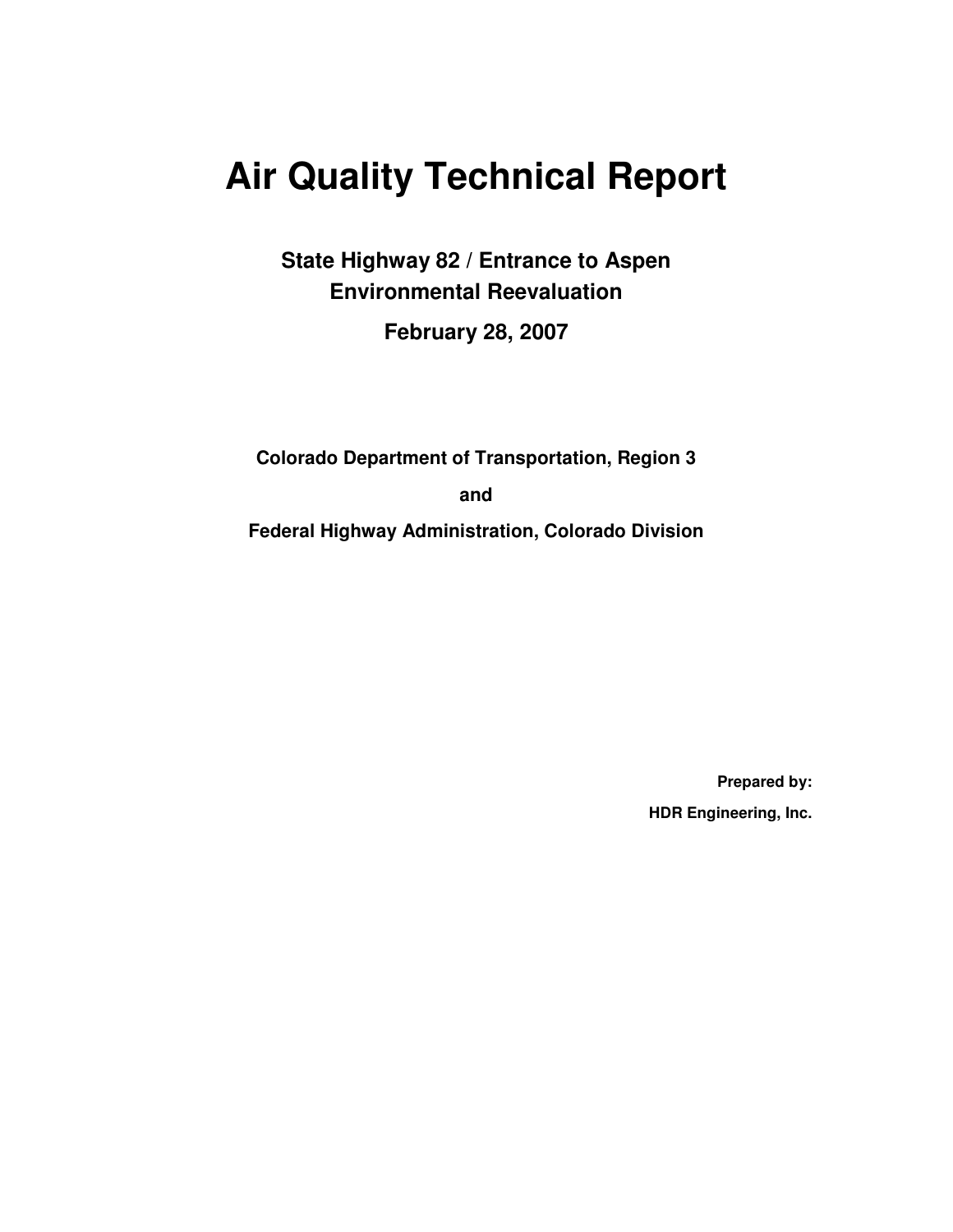# **Air Quality Technical Report**

**State Highway 82 / Entrance to Aspen Environmental Reevaluation** 

**February 28, 2007** 

**Colorado Department of Transportation, Region 3** 

**and** 

**Federal Highway Administration, Colorado Division** 

**Prepared by: HDR Engineering, Inc.**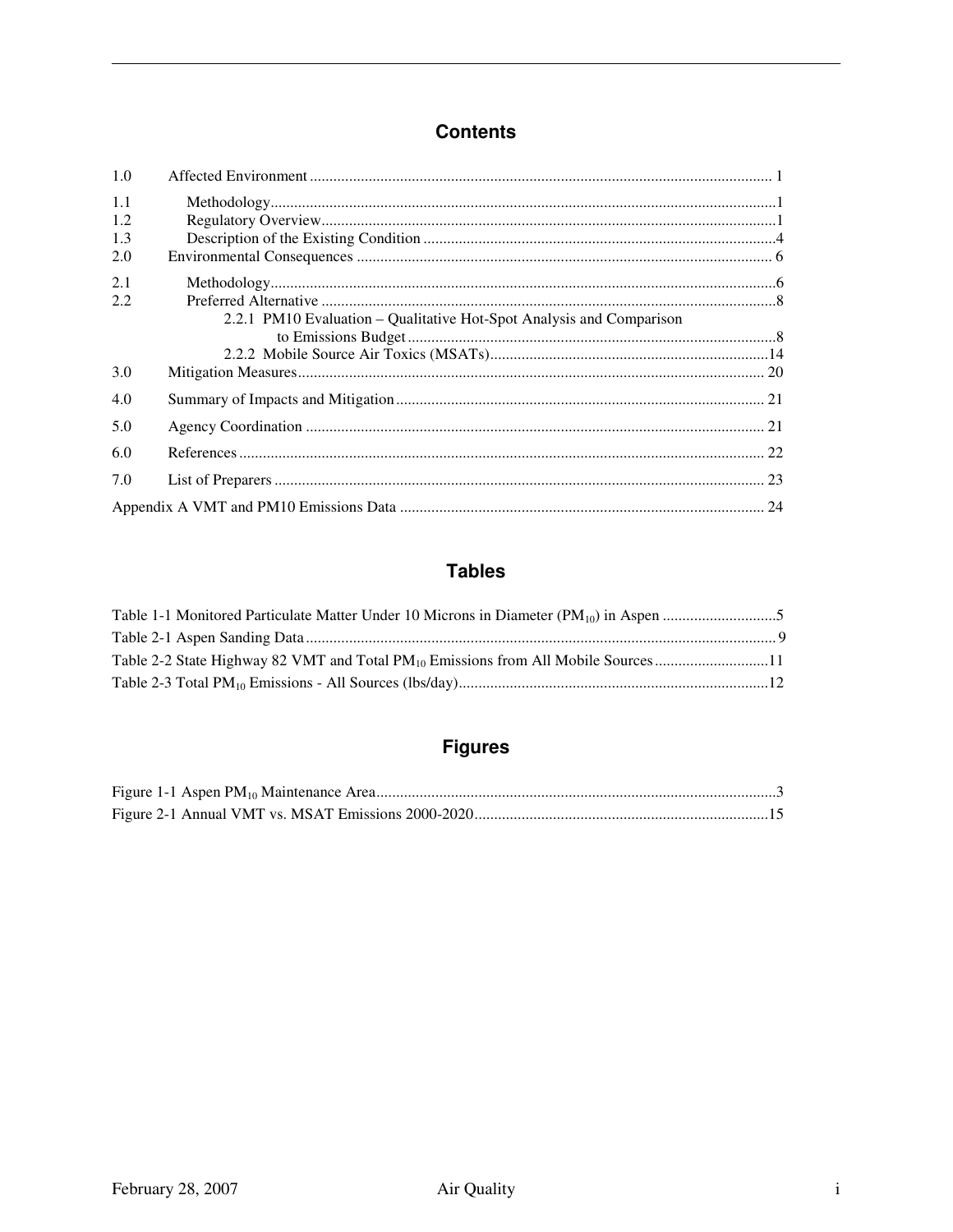### **Contents**

| 1.0               |                                                                      |  |
|-------------------|----------------------------------------------------------------------|--|
| 1.1<br>1.2<br>1.3 |                                                                      |  |
| 2.0               |                                                                      |  |
| 2.1<br>2.2        | 2.2.1 PM10 Evaluation - Qualitative Hot-Spot Analysis and Comparison |  |
|                   |                                                                      |  |
|                   |                                                                      |  |
| 3.0               |                                                                      |  |
| 4.0               |                                                                      |  |
| 5.0               |                                                                      |  |
| 6.0               |                                                                      |  |
| 7.0               |                                                                      |  |
|                   |                                                                      |  |

## **Tables**

| Table 2-2 State Highway 82 VMT and Total PM <sub>10</sub> Emissions from All Mobile Sources11 |  |
|-----------------------------------------------------------------------------------------------|--|
|                                                                                               |  |

## **Figures**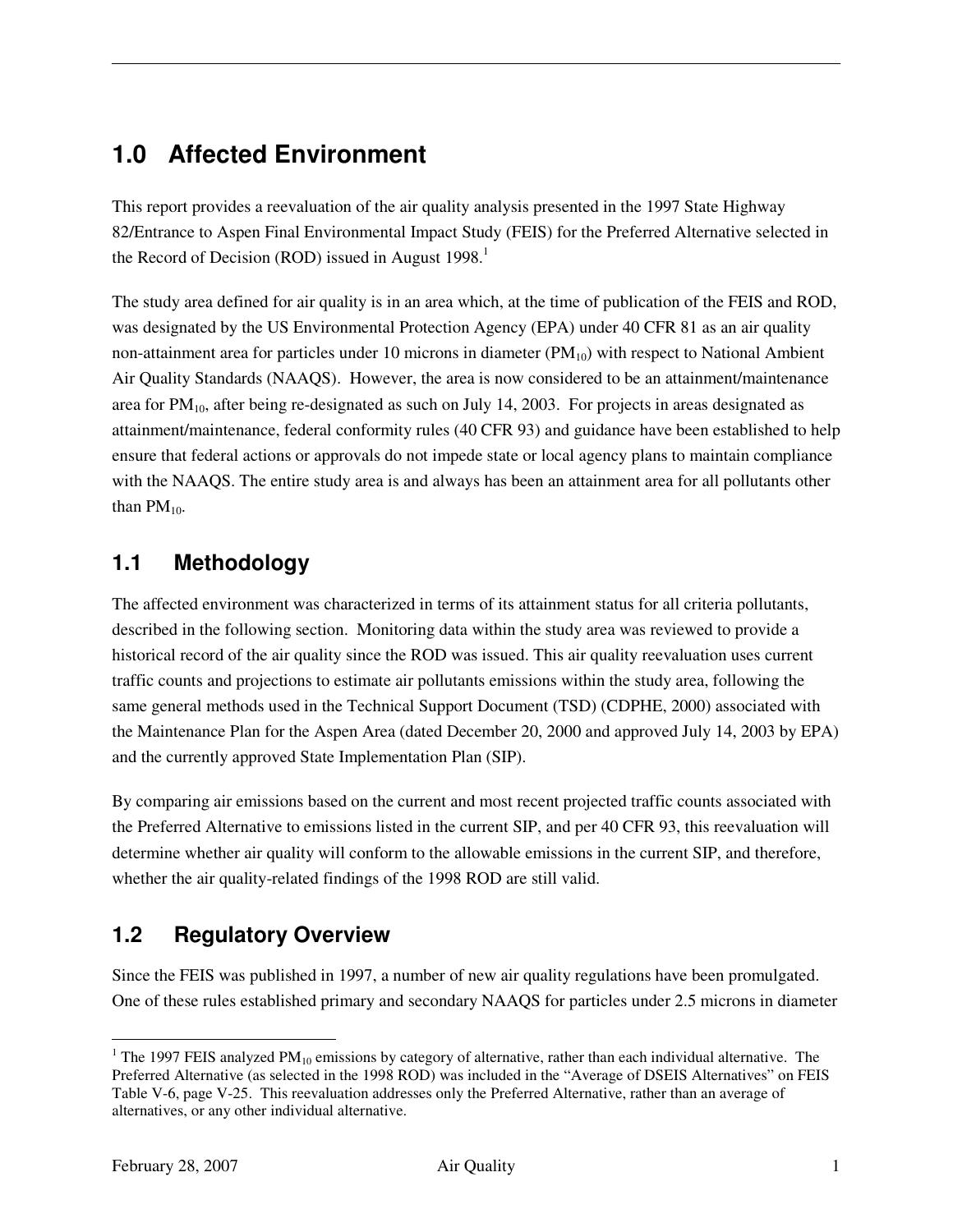## **1.0 Affected Environment**

This report provides a reevaluation of the air quality analysis presented in the 1997 State Highway 82/Entrance to Aspen Final Environmental Impact Study (FEIS) for the Preferred Alternative selected in the Record of Decision (ROD) issued in August  $1998<sup>1</sup>$ 

The study area defined for air quality is in an area which, at the time of publication of the FEIS and ROD, was designated by the US Environmental Protection Agency (EPA) under 40 CFR 81 as an air quality non-attainment area for particles under 10 microns in diameter  $(PM_{10})$  with respect to National Ambient Air Quality Standards (NAAQS). However, the area is now considered to be an attainment/maintenance area for  $PM_{10}$ , after being re-designated as such on July 14, 2003. For projects in areas designated as attainment/maintenance, federal conformity rules (40 CFR 93) and guidance have been established to help ensure that federal actions or approvals do not impede state or local agency plans to maintain compliance with the NAAQS. The entire study area is and always has been an attainment area for all pollutants other than  $PM_{10}$ .

### **1.1 Methodology**

The affected environment was characterized in terms of its attainment status for all criteria pollutants, described in the following section. Monitoring data within the study area was reviewed to provide a historical record of the air quality since the ROD was issued. This air quality reevaluation uses current traffic counts and projections to estimate air pollutants emissions within the study area, following the same general methods used in the Technical Support Document (TSD) (CDPHE, 2000) associated with the Maintenance Plan for the Aspen Area (dated December 20, 2000 and approved July 14, 2003 by EPA) and the currently approved State Implementation Plan (SIP).

By comparing air emissions based on the current and most recent projected traffic counts associated with the Preferred Alternative to emissions listed in the current SIP, and per 40 CFR 93, this reevaluation will determine whether air quality will conform to the allowable emissions in the current SIP, and therefore, whether the air quality-related findings of the 1998 ROD are still valid.

## **1.2 Regulatory Overview**

Since the FEIS was published in 1997, a number of new air quality regulations have been promulgated. One of these rules established primary and secondary NAAQS for particles under 2.5 microns in diameter

 $\overline{a}$ 

<sup>&</sup>lt;sup>1</sup> The 1997 FEIS analyzed PM<sub>10</sub> emissions by category of alternative, rather than each individual alternative. The Preferred Alternative (as selected in the 1998 ROD) was included in the "Average of DSEIS Alternatives" on FEIS Table V-6, page V-25. This reevaluation addresses only the Preferred Alternative, rather than an average of alternatives, or any other individual alternative.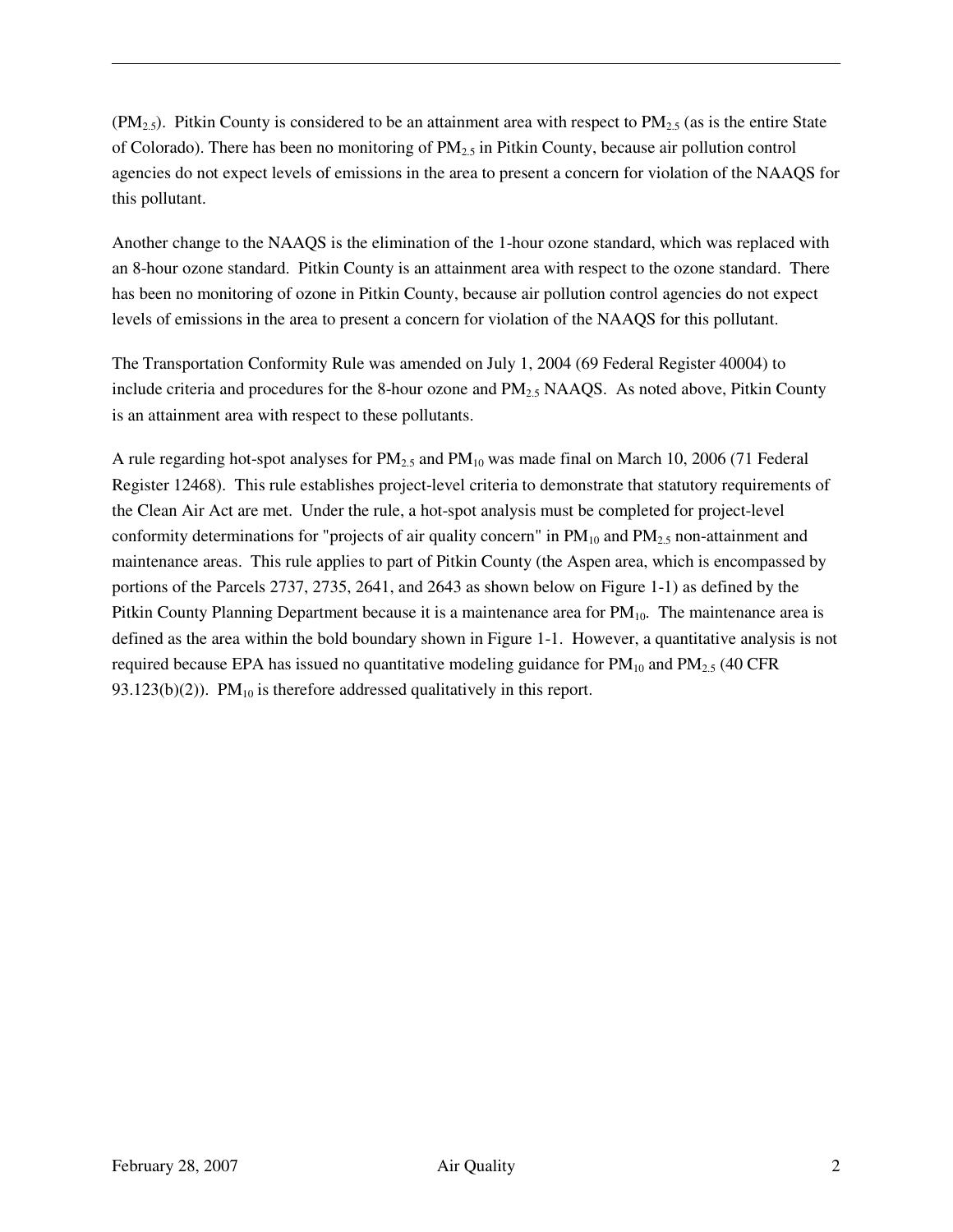$(PM_{2.5})$ . Pitkin County is considered to be an attainment area with respect to PM<sub>2.5</sub> (as is the entire State of Colorado). There has been no monitoring of  $PM<sub>2.5</sub>$  in Pitkin County, because air pollution control agencies do not expect levels of emissions in the area to present a concern for violation of the NAAQS for this pollutant.

Another change to the NAAQS is the elimination of the 1-hour ozone standard, which was replaced with an 8-hour ozone standard. Pitkin County is an attainment area with respect to the ozone standard. There has been no monitoring of ozone in Pitkin County, because air pollution control agencies do not expect levels of emissions in the area to present a concern for violation of the NAAQS for this pollutant.

The Transportation Conformity Rule was amended on July 1, 2004 (69 Federal Register 40004) to include criteria and procedures for the 8-hour ozone and  $PM_{2.5}$  NAAQS. As noted above, Pitkin County is an attainment area with respect to these pollutants.

A rule regarding hot-spot analyses for  $PM_{2.5}$  and  $PM_{10}$  was made final on March 10, 2006 (71 Federal Register 12468). This rule establishes project-level criteria to demonstrate that statutory requirements of the Clean Air Act are met. Under the rule, a hot-spot analysis must be completed for project-level conformity determinations for "projects of air quality concern" in  $PM_{10}$  and  $PM_{2.5}$  non-attainment and maintenance areas. This rule applies to part of Pitkin County (the Aspen area, which is encompassed by portions of the Parcels 2737, 2735, 2641, and 2643 as shown below on Figure 1-1) as defined by the Pitkin County Planning Department because it is a maintenance area for PM<sub>10</sub>. The maintenance area is defined as the area within the bold boundary shown in Figure 1-1. However, a quantitative analysis is not required because EPA has issued no quantitative modeling guidance for  $PM_{10}$  and  $PM_{2.5}$  (40 CFR 93.123(b)(2)).  $PM_{10}$  is therefore addressed qualitatively in this report.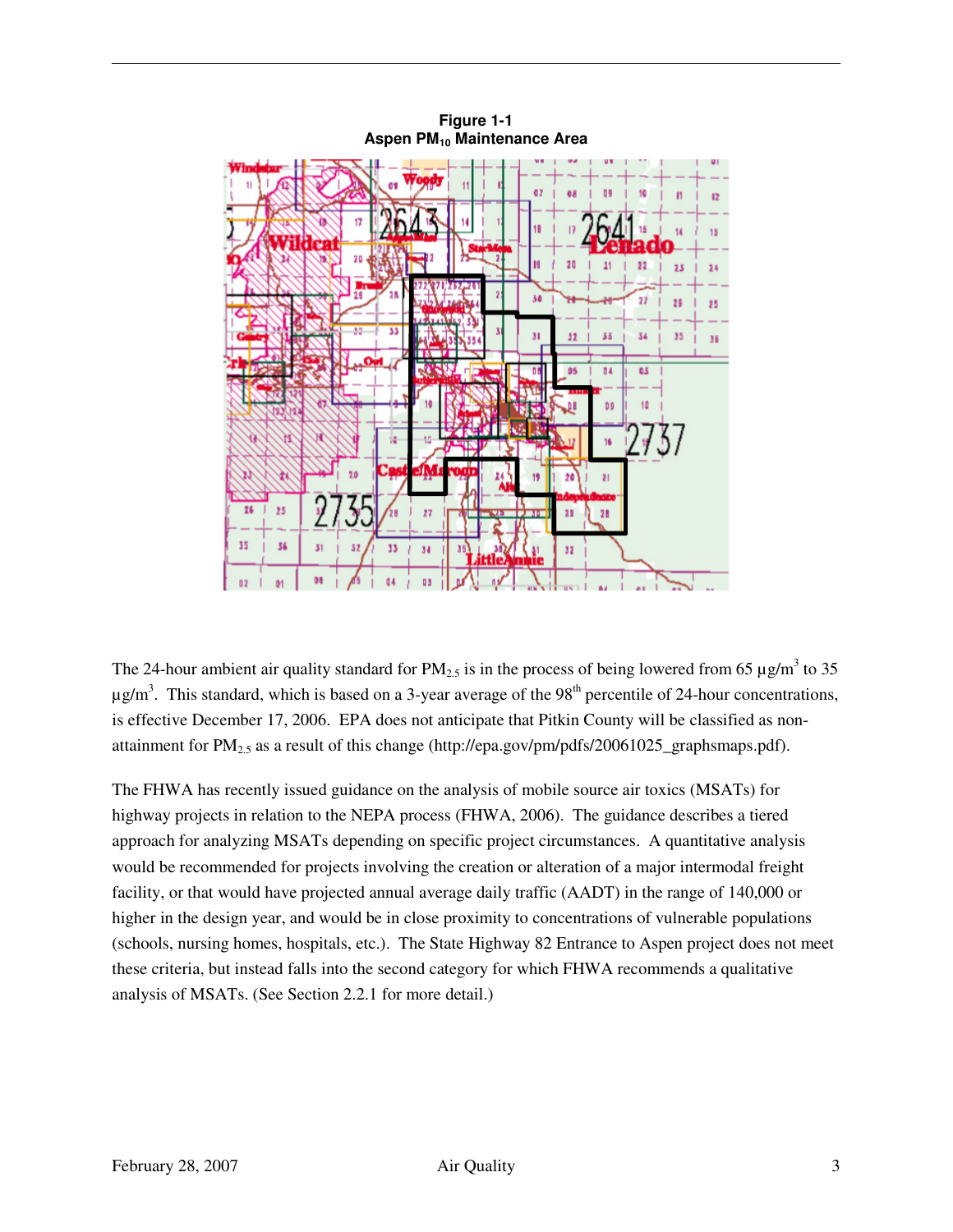

**Figure 1-1 Aspen PM10 Maintenance Area** 

The 24-hour ambient air quality standard for  $PM_{2.5}$  is in the process of being lowered from 65  $\mu$ g/m<sup>3</sup> to 35  $\mu$ g/m<sup>3</sup>. This standard, which is based on a 3-year average of the 98<sup>th</sup> percentile of 24-hour concentrations, is effective December 17, 2006. EPA does not anticipate that Pitkin County will be classified as nonattainment for PM<sub>2.5</sub> as a result of this change (http://epa.gov/pm/pdfs/20061025\_graphsmaps.pdf).

The FHWA has recently issued guidance on the analysis of mobile source air toxics (MSATs) for highway projects in relation to the NEPA process (FHWA, 2006). The guidance describes a tiered approach for analyzing MSATs depending on specific project circumstances. A quantitative analysis would be recommended for projects involving the creation or alteration of a major intermodal freight facility, or that would have projected annual average daily traffic (AADT) in the range of 140,000 or higher in the design year, and would be in close proximity to concentrations of vulnerable populations (schools, nursing homes, hospitals, etc.). The State Highway 82 Entrance to Aspen project does not meet these criteria, but instead falls into the second category for which FHWA recommends a qualitative analysis of MSATs. (See Section 2.2.1 for more detail.)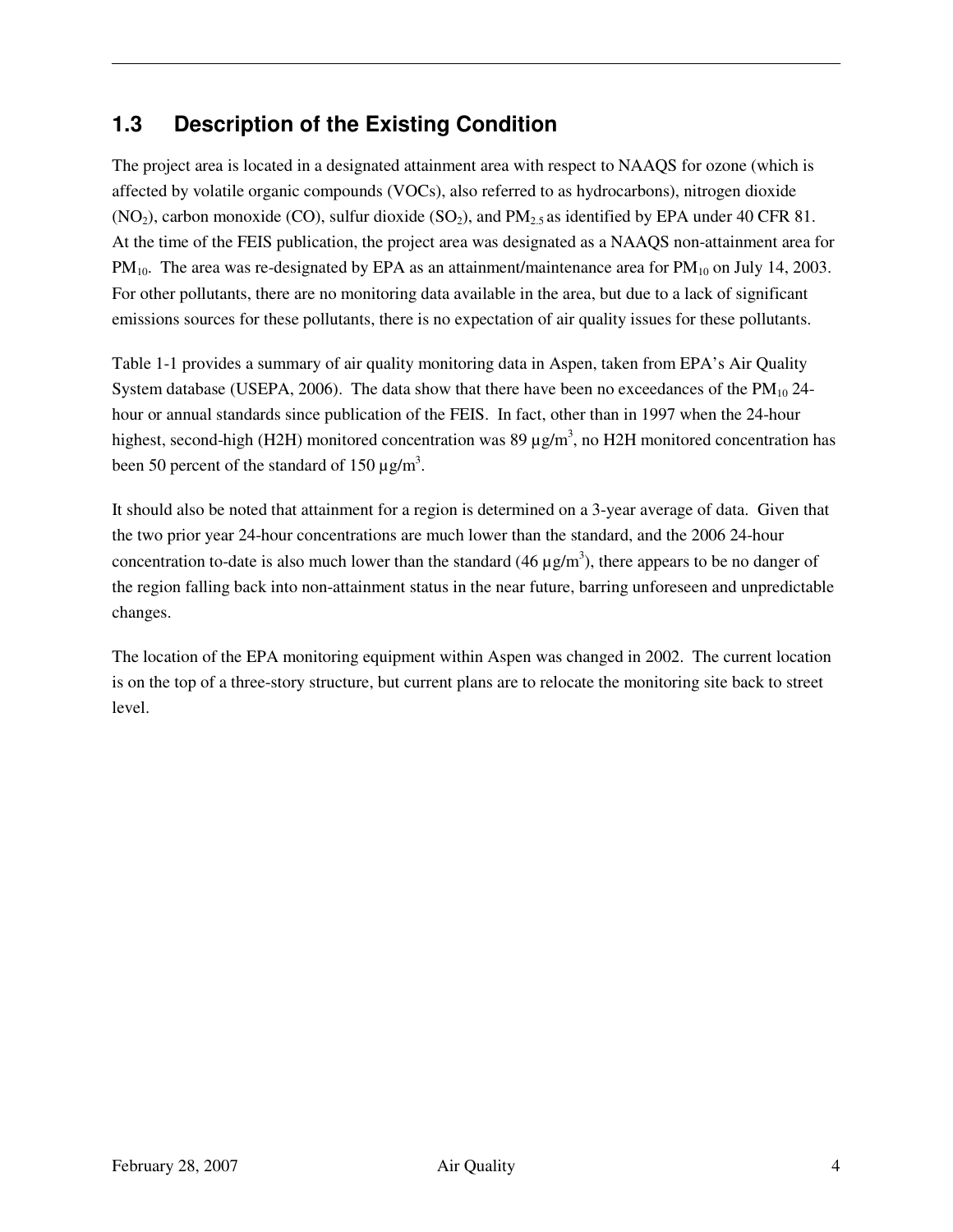### **1.3 Description of the Existing Condition**

The project area is located in a designated attainment area with respect to NAAQS for ozone (which is affected by volatile organic compounds (VOCs), also referred to as hydrocarbons), nitrogen dioxide  $(NO<sub>2</sub>)$ , carbon monoxide (CO), sulfur dioxide (SO<sub>2</sub>), and PM<sub>2.5</sub> as identified by EPA under 40 CFR 81. At the time of the FEIS publication, the project area was designated as a NAAQS non-attainment area for  $PM_{10}$ . The area was re-designated by EPA as an attainment/maintenance area for  $PM_{10}$  on July 14, 2003. For other pollutants, there are no monitoring data available in the area, but due to a lack of significant emissions sources for these pollutants, there is no expectation of air quality issues for these pollutants.

Table 1-1 provides a summary of air quality monitoring data in Aspen, taken from EPA's Air Quality System database (USEPA, 2006). The data show that there have been no exceedances of the  $PM_{10}$  24hour or annual standards since publication of the FEIS. In fact, other than in 1997 when the 24-hour highest, second-high (H2H) monitored concentration was 89  $\mu$ g/m<sup>3</sup>, no H2H monitored concentration has been 50 percent of the standard of 150  $\mu$ g/m<sup>3</sup>.

It should also be noted that attainment for a region is determined on a 3-year average of data. Given that the two prior year 24-hour concentrations are much lower than the standard, and the 2006 24-hour concentration to-date is also much lower than the standard  $(46 \mu g/m<sup>3</sup>)$ , there appears to be no danger of the region falling back into non-attainment status in the near future, barring unforeseen and unpredictable changes.

The location of the EPA monitoring equipment within Aspen was changed in 2002. The current location is on the top of a three-story structure, but current plans are to relocate the monitoring site back to street level.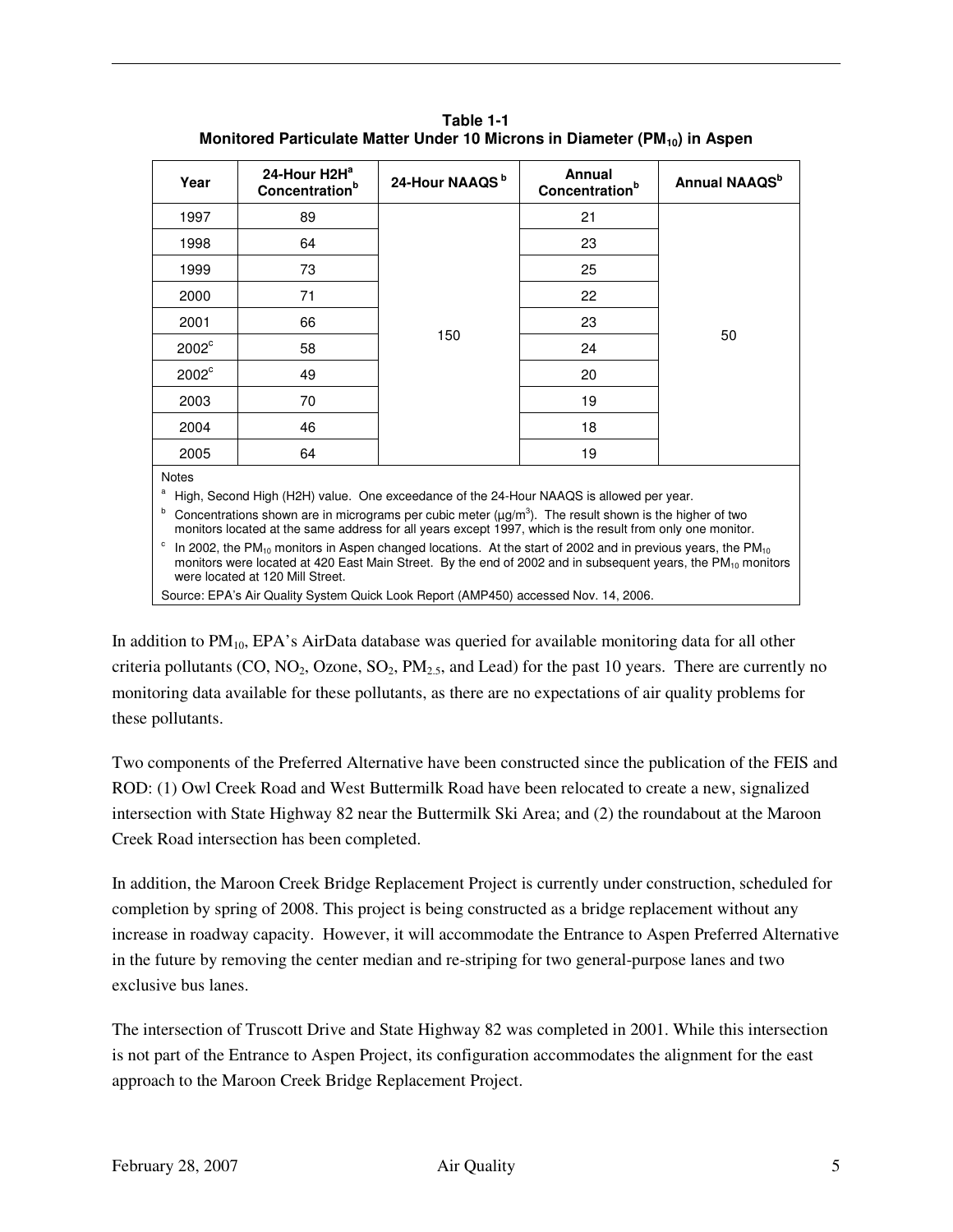| Table 1-1                                                                              |  |  |  |
|----------------------------------------------------------------------------------------|--|--|--|
| Monitored Particulate Matter Under 10 Microns in Diameter (PM <sub>10</sub> ) in Aspen |  |  |  |

| Year                                                                                                                                                                                                                                                                                | 24-Hour H2H <sup>a</sup><br>Concentration <sup>b</sup> | 24-Hour NAAQS <sup>b</sup> | Annual<br>Concentration <sup>b</sup> | Annual NAAQS <sup>b</sup> |  |
|-------------------------------------------------------------------------------------------------------------------------------------------------------------------------------------------------------------------------------------------------------------------------------------|--------------------------------------------------------|----------------------------|--------------------------------------|---------------------------|--|
| 1997                                                                                                                                                                                                                                                                                | 89                                                     | 150                        | 21                                   |                           |  |
| 1998                                                                                                                                                                                                                                                                                | 64                                                     |                            | 23                                   |                           |  |
| 1999                                                                                                                                                                                                                                                                                | 73                                                     |                            | 25                                   |                           |  |
| 2000                                                                                                                                                                                                                                                                                | 71                                                     |                            | 22                                   |                           |  |
| 2001                                                                                                                                                                                                                                                                                | 66                                                     |                            | 23                                   |                           |  |
| $2002^{\circ}$                                                                                                                                                                                                                                                                      | 58                                                     |                            | 24                                   | 50                        |  |
| $2002^{\circ}$                                                                                                                                                                                                                                                                      | 49                                                     |                            | 20                                   |                           |  |
| 2003                                                                                                                                                                                                                                                                                | 70                                                     |                            | 19                                   |                           |  |
| 2004                                                                                                                                                                                                                                                                                | 46                                                     |                            | 18                                   |                           |  |
| 2005                                                                                                                                                                                                                                                                                | 64                                                     |                            | 19                                   |                           |  |
| <b>Notes</b>                                                                                                                                                                                                                                                                        |                                                        |                            |                                      |                           |  |
| a<br>High, Second High (H2H) value. One exceedance of the 24-Hour NAAQS is allowed per year.                                                                                                                                                                                        |                                                        |                            |                                      |                           |  |
| b<br>Concentrations shown are in micrograms per cubic meter $(\mu g/m^3)$ . The result shown is the higher of two<br>monitors located at the same address for all years except 1997, which is the result from only one monitor.                                                     |                                                        |                            |                                      |                           |  |
| c<br>In 2002, the $PM_{10}$ monitors in Aspen changed locations. At the start of 2002 and in previous years, the $PM_{10}$<br>monitors were located at 420 East Main Street. By the end of 2002 and in subsequent years, the $PM_{10}$ monitors<br>were located at 120 Mill Street. |                                                        |                            |                                      |                           |  |

Source: EPA's Air Quality System Quick Look Report (AMP450) accessed Nov. 14, 2006.

In addition to  $PM_{10}$ , EPA's AirData database was queried for available monitoring data for all other criteria pollutants (CO, NO<sub>2</sub>, Ozone, SO<sub>2</sub>, PM<sub>2.5</sub>, and Lead) for the past 10 years. There are currently no monitoring data available for these pollutants, as there are no expectations of air quality problems for these pollutants.

Two components of the Preferred Alternative have been constructed since the publication of the FEIS and ROD: (1) Owl Creek Road and West Buttermilk Road have been relocated to create a new, signalized intersection with State Highway 82 near the Buttermilk Ski Area; and (2) the roundabout at the Maroon Creek Road intersection has been completed.

In addition, the Maroon Creek Bridge Replacement Project is currently under construction, scheduled for completion by spring of 2008. This project is being constructed as a bridge replacement without any increase in roadway capacity. However, it will accommodate the Entrance to Aspen Preferred Alternative in the future by removing the center median and re-striping for two general-purpose lanes and two exclusive bus lanes.

The intersection of Truscott Drive and State Highway 82 was completed in 2001. While this intersection is not part of the Entrance to Aspen Project, its configuration accommodates the alignment for the east approach to the Maroon Creek Bridge Replacement Project.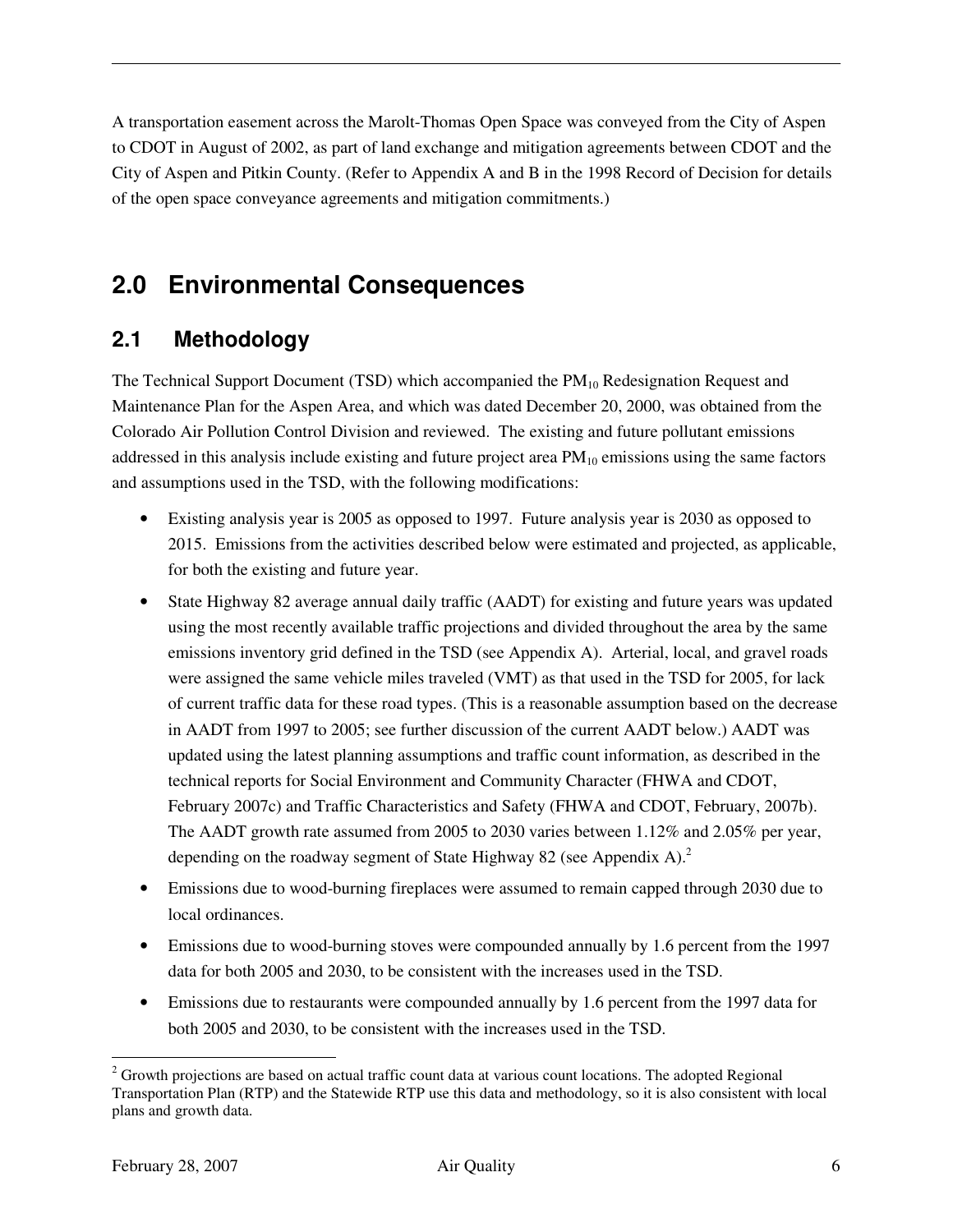A transportation easement across the Marolt-Thomas Open Space was conveyed from the City of Aspen to CDOT in August of 2002, as part of land exchange and mitigation agreements between CDOT and the City of Aspen and Pitkin County. (Refer to Appendix A and B in the 1998 Record of Decision for details of the open space conveyance agreements and mitigation commitments.)

## **2.0 Environmental Consequences**

### **2.1 Methodology**

The Technical Support Document (TSD) which accompanied the  $PM_{10}$  Redesignation Request and Maintenance Plan for the Aspen Area, and which was dated December 20, 2000, was obtained from the Colorado Air Pollution Control Division and reviewed. The existing and future pollutant emissions addressed in this analysis include existing and future project area  $PM_{10}$  emissions using the same factors and assumptions used in the TSD, with the following modifications:

- Existing analysis year is 2005 as opposed to 1997. Future analysis year is 2030 as opposed to 2015. Emissions from the activities described below were estimated and projected, as applicable, for both the existing and future year.
- State Highway 82 average annual daily traffic (AADT) for existing and future years was updated using the most recently available traffic projections and divided throughout the area by the same emissions inventory grid defined in the TSD (see Appendix A). Arterial, local, and gravel roads were assigned the same vehicle miles traveled (VMT) as that used in the TSD for 2005, for lack of current traffic data for these road types. (This is a reasonable assumption based on the decrease in AADT from 1997 to 2005; see further discussion of the current AADT below.) AADT was updated using the latest planning assumptions and traffic count information, as described in the technical reports for Social Environment and Community Character (FHWA and CDOT, February 2007c) and Traffic Characteristics and Safety (FHWA and CDOT, February, 2007b). The AADT growth rate assumed from 2005 to 2030 varies between 1.12% and 2.05% per year, depending on the roadway segment of State Highway 82 (see Appendix A). $^{2}$
- Emissions due to wood-burning fireplaces were assumed to remain capped through 2030 due to local ordinances.
- Emissions due to wood-burning stoves were compounded annually by 1.6 percent from the 1997 data for both 2005 and 2030, to be consistent with the increases used in the TSD.
- Emissions due to restaurants were compounded annually by 1.6 percent from the 1997 data for both 2005 and 2030, to be consistent with the increases used in the TSD.

 $\overline{a}$  $2$  Growth projections are based on actual traffic count data at various count locations. The adopted Regional Transportation Plan (RTP) and the Statewide RTP use this data and methodology, so it is also consistent with local plans and growth data.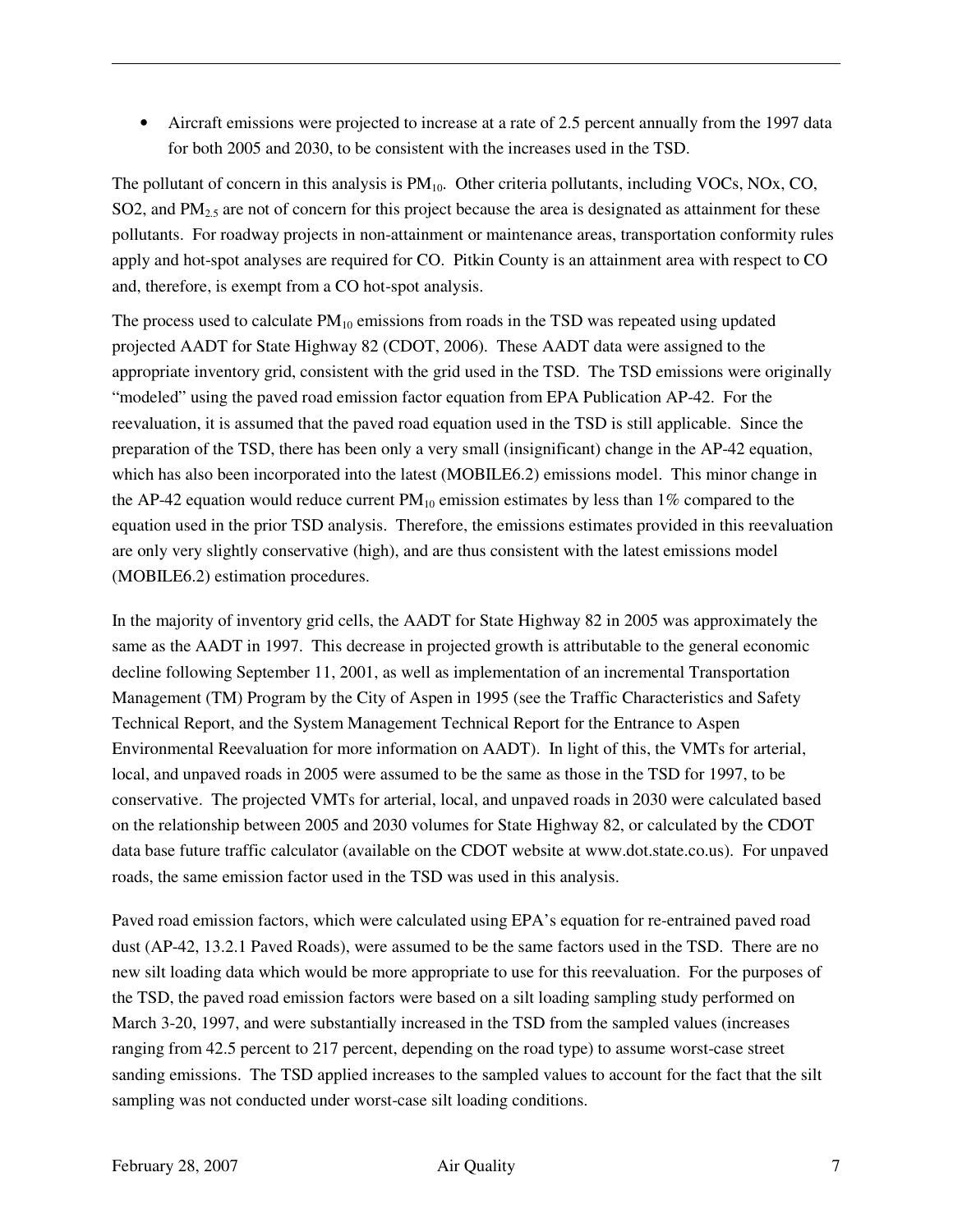• Aircraft emissions were projected to increase at a rate of 2.5 percent annually from the 1997 data for both 2005 and 2030, to be consistent with the increases used in the TSD.

The pollutant of concern in this analysis is  $PM_{10}$ . Other criteria pollutants, including VOCs, NOx, CO, SO2, and  $PM<sub>2.5</sub>$  are not of concern for this project because the area is designated as attainment for these pollutants. For roadway projects in non-attainment or maintenance areas, transportation conformity rules apply and hot-spot analyses are required for CO. Pitkin County is an attainment area with respect to CO and, therefore, is exempt from a CO hot-spot analysis.

The process used to calculate  $PM_{10}$  emissions from roads in the TSD was repeated using updated projected AADT for State Highway 82 (CDOT, 2006). These AADT data were assigned to the appropriate inventory grid, consistent with the grid used in the TSD. The TSD emissions were originally "modeled" using the paved road emission factor equation from EPA Publication AP-42. For the reevaluation, it is assumed that the paved road equation used in the TSD is still applicable. Since the preparation of the TSD, there has been only a very small (insignificant) change in the AP-42 equation, which has also been incorporated into the latest (MOBILE6.2) emissions model. This minor change in the AP-42 equation would reduce current  $PM_{10}$  emission estimates by less than 1% compared to the equation used in the prior TSD analysis. Therefore, the emissions estimates provided in this reevaluation are only very slightly conservative (high), and are thus consistent with the latest emissions model (MOBILE6.2) estimation procedures.

In the majority of inventory grid cells, the AADT for State Highway 82 in 2005 was approximately the same as the AADT in 1997. This decrease in projected growth is attributable to the general economic decline following September 11, 2001, as well as implementation of an incremental Transportation Management (TM) Program by the City of Aspen in 1995 (see the Traffic Characteristics and Safety Technical Report, and the System Management Technical Report for the Entrance to Aspen Environmental Reevaluation for more information on AADT). In light of this, the VMTs for arterial, local, and unpaved roads in 2005 were assumed to be the same as those in the TSD for 1997, to be conservative. The projected VMTs for arterial, local, and unpaved roads in 2030 were calculated based on the relationship between 2005 and 2030 volumes for State Highway 82, or calculated by the CDOT data base future traffic calculator (available on the CDOT website at www.dot.state.co.us). For unpaved roads, the same emission factor used in the TSD was used in this analysis.

Paved road emission factors, which were calculated using EPA's equation for re-entrained paved road dust (AP-42, 13.2.1 Paved Roads), were assumed to be the same factors used in the TSD. There are no new silt loading data which would be more appropriate to use for this reevaluation. For the purposes of the TSD, the paved road emission factors were based on a silt loading sampling study performed on March 3-20, 1997, and were substantially increased in the TSD from the sampled values (increases ranging from 42.5 percent to 217 percent, depending on the road type) to assume worst-case street sanding emissions. The TSD applied increases to the sampled values to account for the fact that the silt sampling was not conducted under worst-case silt loading conditions.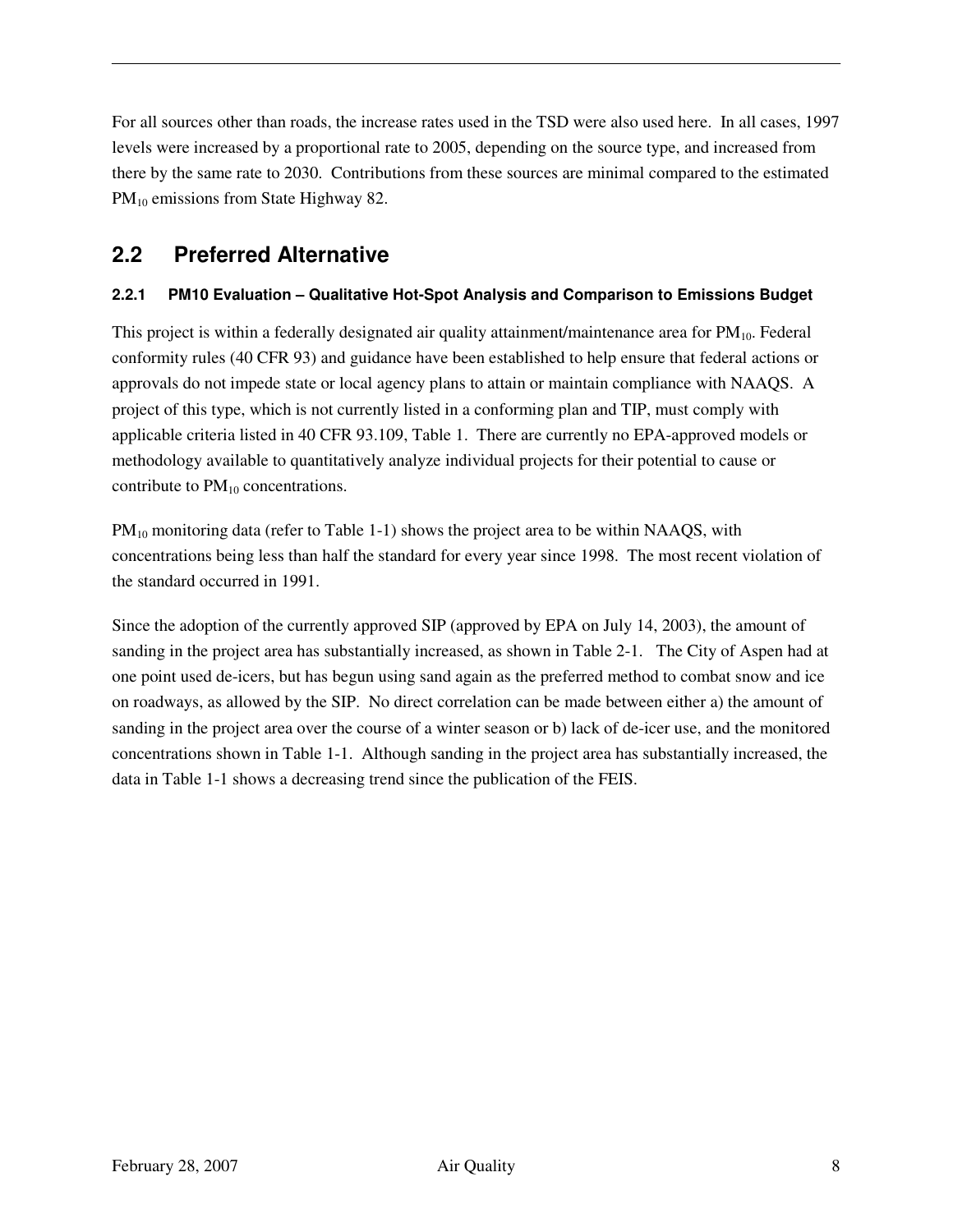For all sources other than roads, the increase rates used in the TSD were also used here. In all cases, 1997 levels were increased by a proportional rate to 2005, depending on the source type, and increased from there by the same rate to 2030. Contributions from these sources are minimal compared to the estimated PM<sub>10</sub> emissions from State Highway 82.

### **2.2 Preferred Alternative**

#### **2.2.1 PM10 Evaluation – Qualitative Hot-Spot Analysis and Comparison to Emissions Budget**

This project is within a federally designated air quality attainment/maintenance area for  $PM_{10}$ . Federal conformity rules (40 CFR 93) and guidance have been established to help ensure that federal actions or approvals do not impede state or local agency plans to attain or maintain compliance with NAAQS. A project of this type, which is not currently listed in a conforming plan and TIP, must comply with applicable criteria listed in 40 CFR 93.109, Table 1. There are currently no EPA-approved models or methodology available to quantitatively analyze individual projects for their potential to cause or contribute to  $PM_{10}$  concentrations.

 $PM_{10}$  monitoring data (refer to Table 1-1) shows the project area to be within NAAQS, with concentrations being less than half the standard for every year since 1998. The most recent violation of the standard occurred in 1991.

Since the adoption of the currently approved SIP (approved by EPA on July 14, 2003), the amount of sanding in the project area has substantially increased, as shown in Table 2-1. The City of Aspen had at one point used de-icers, but has begun using sand again as the preferred method to combat snow and ice on roadways, as allowed by the SIP. No direct correlation can be made between either a) the amount of sanding in the project area over the course of a winter season or b) lack of de-icer use, and the monitored concentrations shown in Table 1-1. Although sanding in the project area has substantially increased, the data in Table 1-1 shows a decreasing trend since the publication of the FEIS.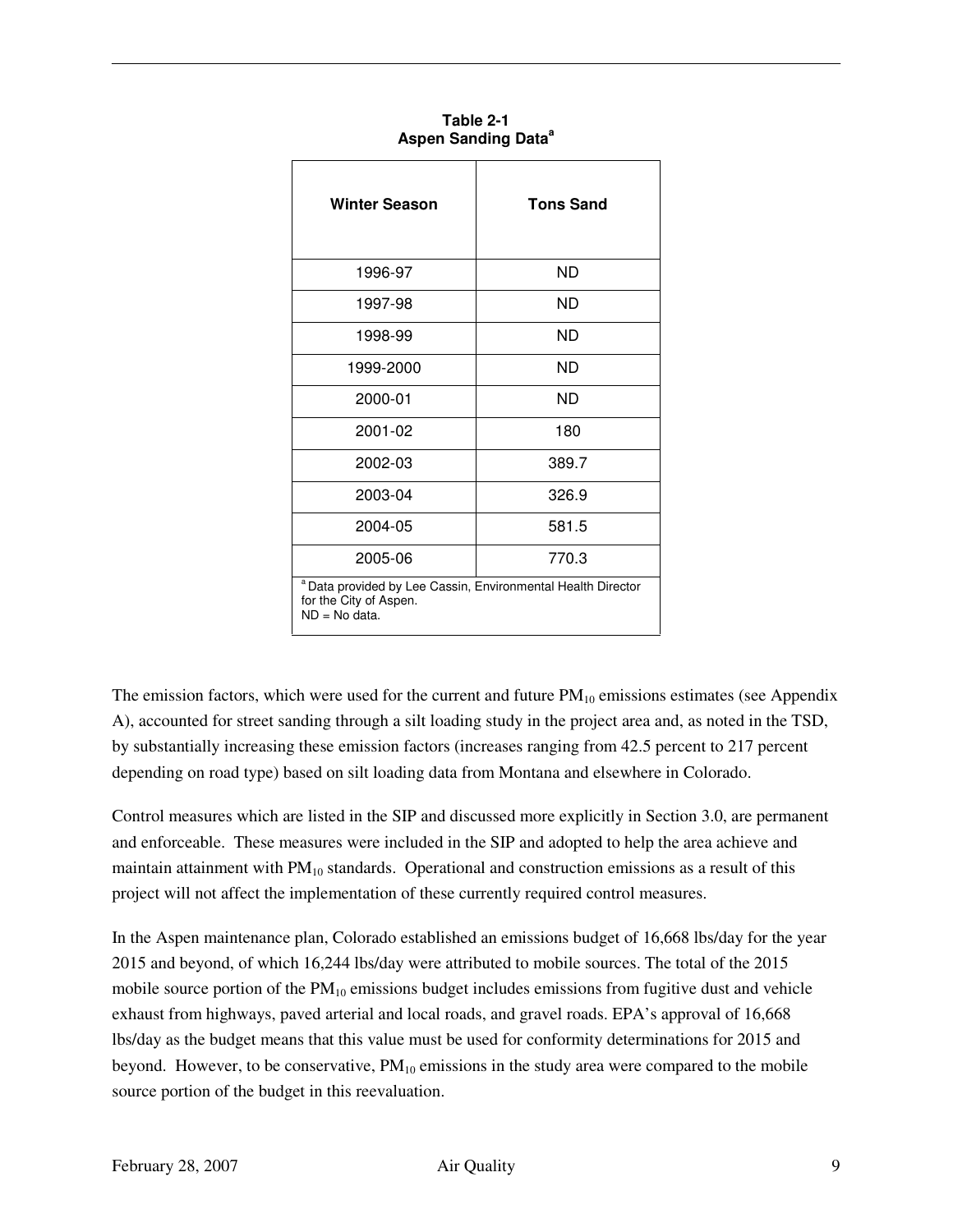| <b>Winter Season</b>                                                                                                 | <b>Tons Sand</b> |  |  |
|----------------------------------------------------------------------------------------------------------------------|------------------|--|--|
| 1996-97                                                                                                              | ND.              |  |  |
| 1997-98                                                                                                              | ND               |  |  |
| 1998-99                                                                                                              | ND               |  |  |
| 1999-2000                                                                                                            | ND               |  |  |
| 2000-01                                                                                                              | ND               |  |  |
| 2001-02                                                                                                              | 180              |  |  |
| 2002-03                                                                                                              | 389.7            |  |  |
| 2003-04                                                                                                              | 326.9            |  |  |
| 2004-05                                                                                                              | 581.5            |  |  |
| 2005-06                                                                                                              | 770.3            |  |  |
| <sup>a</sup> Data provided by Lee Cassin, Environmental Health Director<br>for the City of Aspen.<br>$ND = No data.$ |                  |  |  |

**Table 2-1 Aspen Sanding Data<sup>a</sup>**

The emission factors, which were used for the current and future  $PM_{10}$  emissions estimates (see Appendix A), accounted for street sanding through a silt loading study in the project area and, as noted in the TSD, by substantially increasing these emission factors (increases ranging from 42.5 percent to 217 percent depending on road type) based on silt loading data from Montana and elsewhere in Colorado.

Control measures which are listed in the SIP and discussed more explicitly in Section 3.0, are permanent and enforceable. These measures were included in the SIP and adopted to help the area achieve and maintain attainment with  $PM_{10}$  standards. Operational and construction emissions as a result of this project will not affect the implementation of these currently required control measures.

In the Aspen maintenance plan, Colorado established an emissions budget of 16,668 lbs/day for the year 2015 and beyond, of which 16,244 lbs/day were attributed to mobile sources. The total of the 2015 mobile source portion of the  $PM_{10}$  emissions budget includes emissions from fugitive dust and vehicle exhaust from highways, paved arterial and local roads, and gravel roads. EPA's approval of 16,668 lbs/day as the budget means that this value must be used for conformity determinations for 2015 and beyond. However, to be conservative,  $PM_{10}$  emissions in the study area were compared to the mobile source portion of the budget in this reevaluation.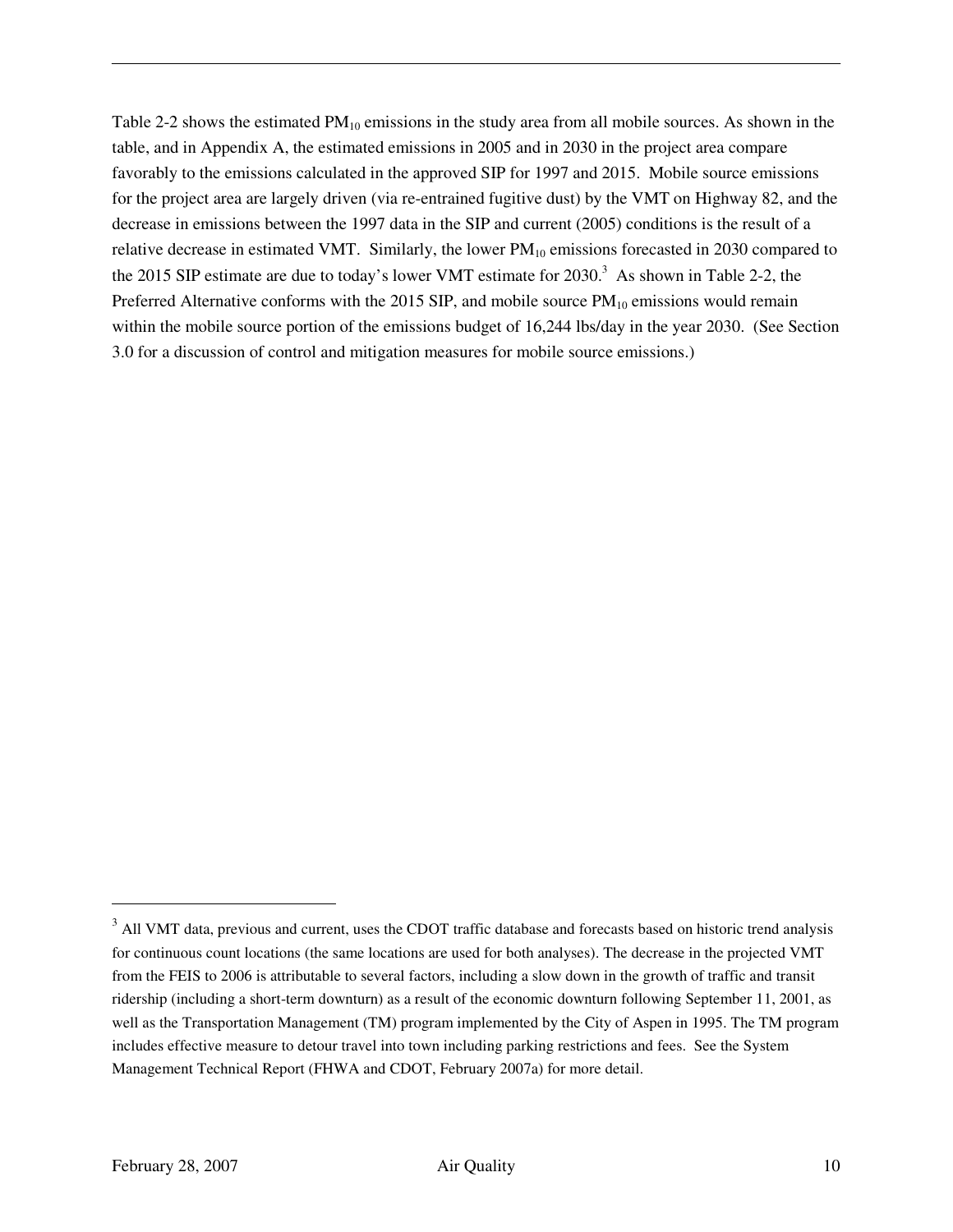Table 2-2 shows the estimated  $PM_{10}$  emissions in the study area from all mobile sources. As shown in the table, and in Appendix A, the estimated emissions in 2005 and in 2030 in the project area compare favorably to the emissions calculated in the approved SIP for 1997 and 2015. Mobile source emissions for the project area are largely driven (via re-entrained fugitive dust) by the VMT on Highway 82, and the decrease in emissions between the 1997 data in the SIP and current (2005) conditions is the result of a relative decrease in estimated VMT. Similarly, the lower  $PM_{10}$  emissions forecasted in 2030 compared to the 2015 SIP estimate are due to today's lower VMT estimate for 2030.<sup>3</sup> As shown in Table 2-2, the Preferred Alternative conforms with the 2015 SIP, and mobile source  $PM_{10}$  emissions would remain within the mobile source portion of the emissions budget of 16,244 lbs/day in the year 2030. (See Section 3.0 for a discussion of control and mitigation measures for mobile source emissions.)

 $\overline{a}$ 

<sup>&</sup>lt;sup>3</sup> All VMT data, previous and current, uses the CDOT traffic database and forecasts based on historic trend analysis for continuous count locations (the same locations are used for both analyses). The decrease in the projected VMT from the FEIS to 2006 is attributable to several factors, including a slow down in the growth of traffic and transit ridership (including a short-term downturn) as a result of the economic downturn following September 11, 2001, as well as the Transportation Management (TM) program implemented by the City of Aspen in 1995. The TM program includes effective measure to detour travel into town including parking restrictions and fees. See the System Management Technical Report (FHWA and CDOT, February 2007a) for more detail.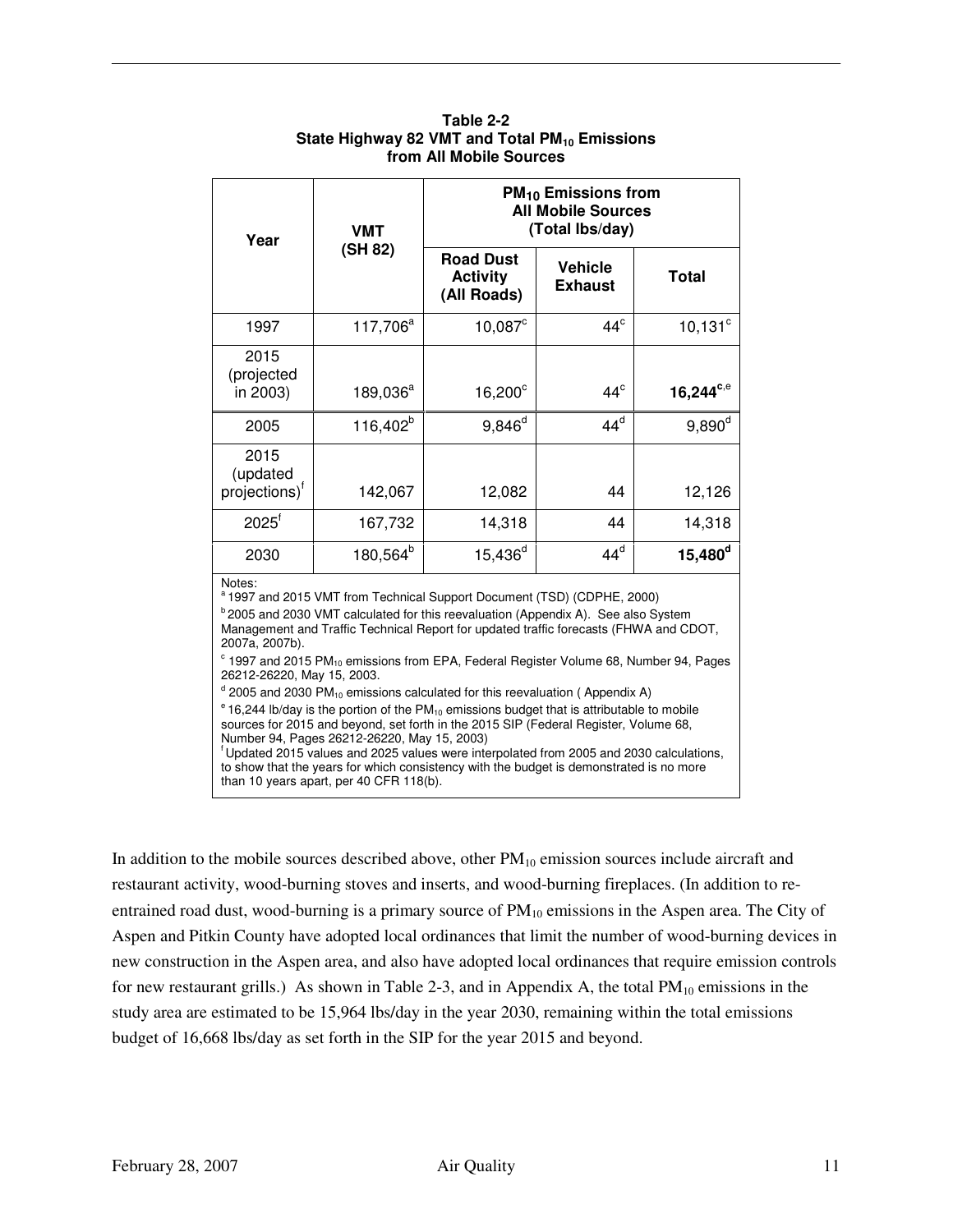| Year                                                                                        | <b>VMT</b><br>(SH 82) | $PM_{10}$ Emissions from<br><b>All Mobile Sources</b><br>(Total Ibs/day) |                           |                |
|---------------------------------------------------------------------------------------------|-----------------------|--------------------------------------------------------------------------|---------------------------|----------------|
|                                                                                             |                       | <b>Road Dust</b><br><b>Activity</b><br>(All Roads)                       | Vehicle<br><b>Exhaust</b> | <b>Total</b>   |
| 1997                                                                                        | 117,706 <sup>a</sup>  | $10,087^{\circ}$                                                         | $44^\circ$                | $10,131^\circ$ |
| 2015<br>(projected<br>in 2003)                                                              | $189,036^a$           | $16,200^\circ$                                                           | $44^\circ$                | $16,244^{c,e}$ |
| 2005                                                                                        | 116,402 <sup>b</sup>  | $9,846^d$                                                                | $44^d$                    | $9,890^d$      |
| 2015<br>(updated<br>projections) <sup>†</sup>                                               | 142,067               | 12,082                                                                   | 44                        | 12,126         |
| $2025^{\dagger}$                                                                            | 167,732               | 14,318                                                                   | 44                        | 14,318         |
| 2030                                                                                        | 180,564 <sup>b</sup>  | $15,436^d$                                                               | $44^d$                    | $15,480^d$     |
| Notes:<br><sup>a</sup> 1997 and 2015 VMT from Technical Support Document (TSD) (CDPHE 2000) |                       |                                                                          |                           |                |

#### **Table 2-2 State Highway 82 VMT and Total PM10 Emissions from All Mobile Sources**

<sup>a</sup>1997 and 2015 VMT from Technical Support Document (TSD) (CDPHE, 2000)

 $b$  2005 and 2030 VMT calculated for this reevaluation (Appendix A). See also System Management and Traffic Technical Report for updated traffic forecasts (FHWA and CDOT, 2007a, 2007b).

 $\textdegree$  1997 and 2015 PM<sub>10</sub> emissions from EPA, Federal Register Volume 68, Number 94, Pages 26212-26220, May 15, 2003.

 $d$  2005 and 2030 PM<sub>10</sub> emissions calculated for this reevaluation (Appendix A)

 $e$  16,244 lb/day is the portion of the PM<sub>10</sub> emissions budget that is attributable to mobile sources for 2015 and beyond, set forth in the 2015 SIP (Federal Register, Volume 68, Number 94, Pages 26212-26220, May 15, 2003)

<sup>f</sup> Updated 2015 values and 2025 values were interpolated from 2005 and 2030 calculations, to show that the years for which consistency with the budget is demonstrated is no more than 10 years apart, per 40 CFR 118(b).

In addition to the mobile sources described above, other  $PM_{10}$  emission sources include aircraft and restaurant activity, wood-burning stoves and inserts, and wood-burning fireplaces. (In addition to reentrained road dust, wood-burning is a primary source of  $PM_{10}$  emissions in the Aspen area. The City of Aspen and Pitkin County have adopted local ordinances that limit the number of wood-burning devices in new construction in the Aspen area, and also have adopted local ordinances that require emission controls for new restaurant grills.) As shown in Table 2-3, and in Appendix A, the total  $PM_{10}$  emissions in the study area are estimated to be 15,964 lbs/day in the year 2030, remaining within the total emissions budget of 16,668 lbs/day as set forth in the SIP for the year 2015 and beyond.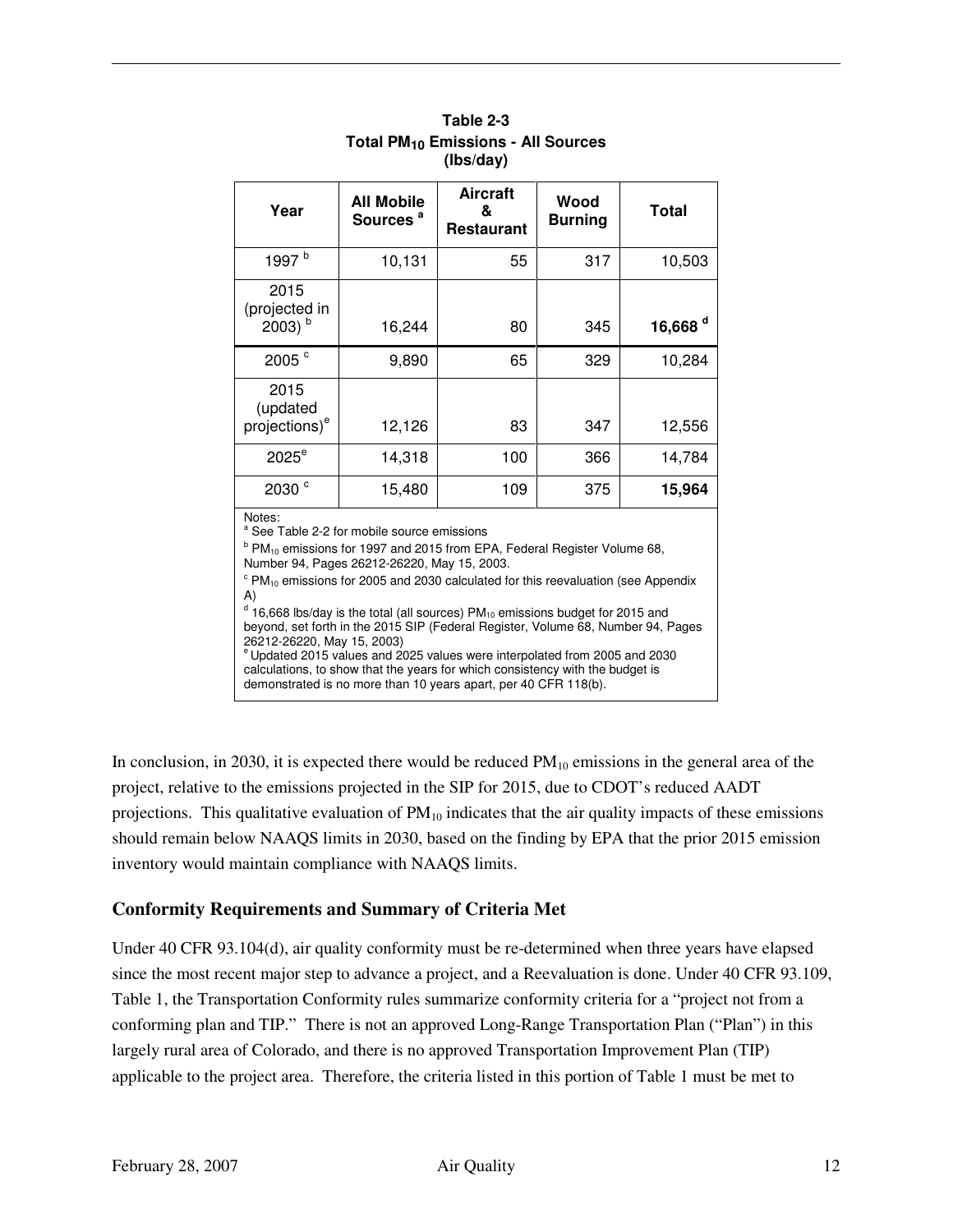| Year                                                             | <b>All Mobile</b><br>Sources <sup>a</sup> | <b>Aircraft</b><br>&<br>Restaurant | Wood<br><b>Burning</b> | Total               |
|------------------------------------------------------------------|-------------------------------------------|------------------------------------|------------------------|---------------------|
| 1997 <sup>b</sup>                                                | 10,131                                    | 55                                 | 317                    | 10,503              |
| 2015<br>(projected in<br>$2003)$ <sup>b</sup>                    | 16,244                                    | 80                                 | 345                    | 16,668 <sup>d</sup> |
| 2005 <sup>c</sup>                                                | 9,890                                     | 65                                 | 329                    | 10,284              |
| 2015<br>(updated<br>projections) <sup>e</sup>                    | 12,126                                    | 83                                 | 347                    | 12,556              |
| $2025^e$                                                         | 14,318                                    | 100                                | 366                    | 14,784              |
| 2030 <sup>c</sup>                                                | 15,480                                    | 109                                | 375                    | 15,964              |
| Notes:<br><sup>a</sup> See Table 2-2 for mobile source emissions |                                           |                                    |                        |                     |

#### **Table 2-3 Total PM10 Emissions - All Sources (lbs/day)**

<sup>b</sup> PM<sub>10</sub> emissions for 1997 and 2015 from EPA, Federal Register Volume 68,

Number 94, Pages 26212-26220, May 15, 2003.

 $\textdegree$  PM<sub>10</sub> emissions for 2005 and 2030 calculated for this reevaluation (see Appendix A)

 $d$  16,668 lbs/day is the total (all sources) PM<sub>10</sub> emissions budget for 2015 and beyond, set forth in the 2015 SIP (Federal Register, Volume 68, Number 94, Pages 26212-26220, May 15, 2003) e Updated 2015 values and 2025 values were interpolated from 2005 and 2030 calculations, to show that the years for which consistency with the budget is

demonstrated is no more than 10 years apart, per 40 CFR 118(b).

In conclusion, in 2030, it is expected there would be reduced  $PM_{10}$  emissions in the general area of the project, relative to the emissions projected in the SIP for 2015, due to CDOT's reduced AADT projections. This qualitative evaluation of  $PM_{10}$  indicates that the air quality impacts of these emissions should remain below NAAQS limits in 2030, based on the finding by EPA that the prior 2015 emission inventory would maintain compliance with NAAQS limits.

#### **Conformity Requirements and Summary of Criteria Met**

Under 40 CFR 93.104(d), air quality conformity must be re-determined when three years have elapsed since the most recent major step to advance a project, and a Reevaluation is done. Under 40 CFR 93.109, Table 1, the Transportation Conformity rules summarize conformity criteria for a "project not from a conforming plan and TIP." There is not an approved Long-Range Transportation Plan ("Plan") in this largely rural area of Colorado, and there is no approved Transportation Improvement Plan (TIP) applicable to the project area. Therefore, the criteria listed in this portion of Table 1 must be met to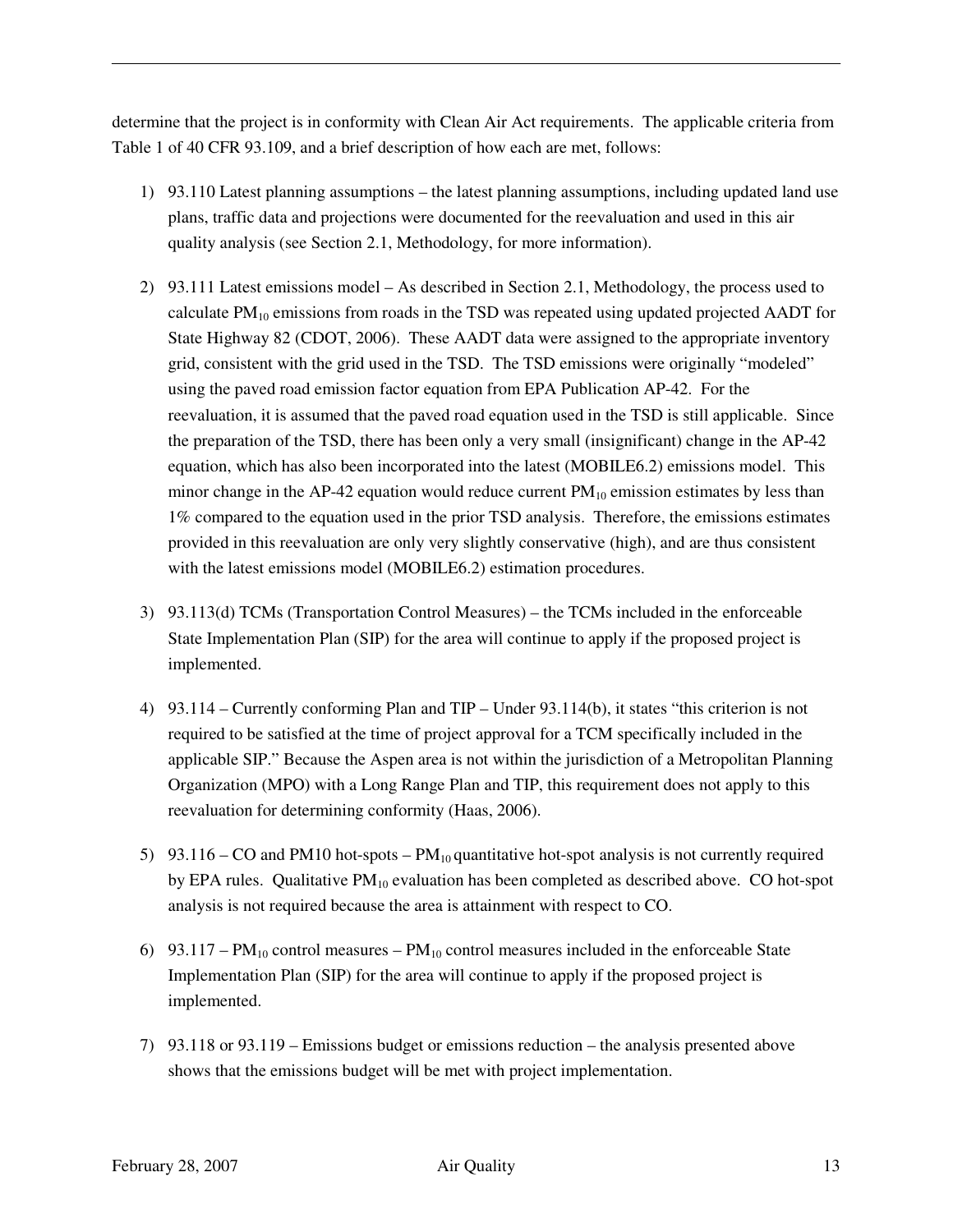determine that the project is in conformity with Clean Air Act requirements. The applicable criteria from Table 1 of 40 CFR 93.109, and a brief description of how each are met, follows:

- 1) 93.110 Latest planning assumptions the latest planning assumptions, including updated land use plans, traffic data and projections were documented for the reevaluation and used in this air quality analysis (see Section 2.1, Methodology, for more information).
- 2) 93.111 Latest emissions model As described in Section 2.1, Methodology, the process used to calculate  $PM_{10}$  emissions from roads in the TSD was repeated using updated projected AADT for State Highway 82 (CDOT, 2006). These AADT data were assigned to the appropriate inventory grid, consistent with the grid used in the TSD. The TSD emissions were originally "modeled" using the paved road emission factor equation from EPA Publication AP-42. For the reevaluation, it is assumed that the paved road equation used in the TSD is still applicable. Since the preparation of the TSD, there has been only a very small (insignificant) change in the AP-42 equation, which has also been incorporated into the latest (MOBILE6.2) emissions model. This minor change in the AP-42 equation would reduce current  $PM_{10}$  emission estimates by less than 1% compared to the equation used in the prior TSD analysis. Therefore, the emissions estimates provided in this reevaluation are only very slightly conservative (high), and are thus consistent with the latest emissions model (MOBILE6.2) estimation procedures.
- 3) 93.113(d) TCMs (Transportation Control Measures) the TCMs included in the enforceable State Implementation Plan (SIP) for the area will continue to apply if the proposed project is implemented.
- 4) 93.114 Currently conforming Plan and TIP Under 93.114(b), it states "this criterion is not required to be satisfied at the time of project approval for a TCM specifically included in the applicable SIP." Because the Aspen area is not within the jurisdiction of a Metropolitan Planning Organization (MPO) with a Long Range Plan and TIP, this requirement does not apply to this reevaluation for determining conformity (Haas, 2006).
- 5) 93.116 CO and PM10 hot-spots  $PM_{10}$  quantitative hot-spot analysis is not currently required by EPA rules. Qualitative  $PM_{10}$  evaluation has been completed as described above. CO hot-spot analysis is not required because the area is attainment with respect to CO.
- 6) 93.117 PM<sub>10</sub> control measures PM<sub>10</sub> control measures included in the enforceable State Implementation Plan (SIP) for the area will continue to apply if the proposed project is implemented.
- 7) 93.118 or 93.119 Emissions budget or emissions reduction the analysis presented above shows that the emissions budget will be met with project implementation.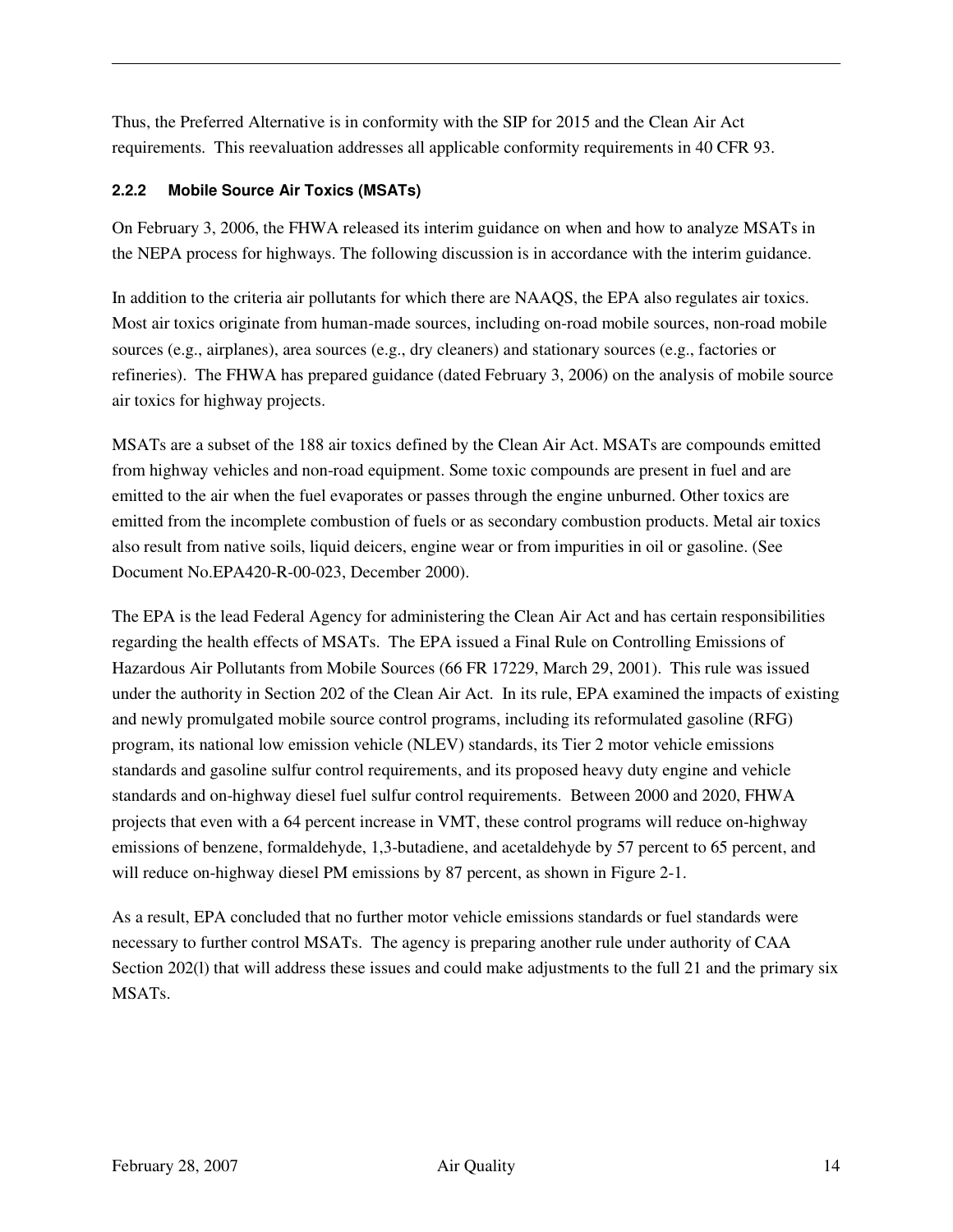Thus, the Preferred Alternative is in conformity with the SIP for 2015 and the Clean Air Act requirements. This reevaluation addresses all applicable conformity requirements in 40 CFR 93.

#### **2.2.2 Mobile Source Air Toxics (MSATs)**

On February 3, 2006, the FHWA released its interim guidance on when and how to analyze MSATs in the NEPA process for highways. The following discussion is in accordance with the interim guidance.

In addition to the criteria air pollutants for which there are NAAQS, the EPA also regulates air toxics. Most air toxics originate from human-made sources, including on-road mobile sources, non-road mobile sources (e.g., airplanes), area sources (e.g., dry cleaners) and stationary sources (e.g., factories or refineries). The FHWA has prepared guidance (dated February 3, 2006) on the analysis of mobile source air toxics for highway projects.

MSATs are a subset of the 188 air toxics defined by the Clean Air Act. MSATs are compounds emitted from highway vehicles and non-road equipment. Some toxic compounds are present in fuel and are emitted to the air when the fuel evaporates or passes through the engine unburned. Other toxics are emitted from the incomplete combustion of fuels or as secondary combustion products. Metal air toxics also result from native soils, liquid deicers, engine wear or from impurities in oil or gasoline. (See Document No.EPA420-R-00-023, December 2000).

The EPA is the lead Federal Agency for administering the Clean Air Act and has certain responsibilities regarding the health effects of MSATs. The EPA issued a Final Rule on Controlling Emissions of Hazardous Air Pollutants from Mobile Sources (66 FR 17229, March 29, 2001). This rule was issued under the authority in Section 202 of the Clean Air Act. In its rule, EPA examined the impacts of existing and newly promulgated mobile source control programs, including its reformulated gasoline (RFG) program, its national low emission vehicle (NLEV) standards, its Tier 2 motor vehicle emissions standards and gasoline sulfur control requirements, and its proposed heavy duty engine and vehicle standards and on-highway diesel fuel sulfur control requirements. Between 2000 and 2020, FHWA projects that even with a 64 percent increase in VMT, these control programs will reduce on-highway emissions of benzene, formaldehyde, 1,3-butadiene, and acetaldehyde by 57 percent to 65 percent, and will reduce on-highway diesel PM emissions by 87 percent, as shown in Figure 2-1.

As a result, EPA concluded that no further motor vehicle emissions standards or fuel standards were necessary to further control MSATs. The agency is preparing another rule under authority of CAA Section 202(1) that will address these issues and could make adjustments to the full 21 and the primary six MSATs.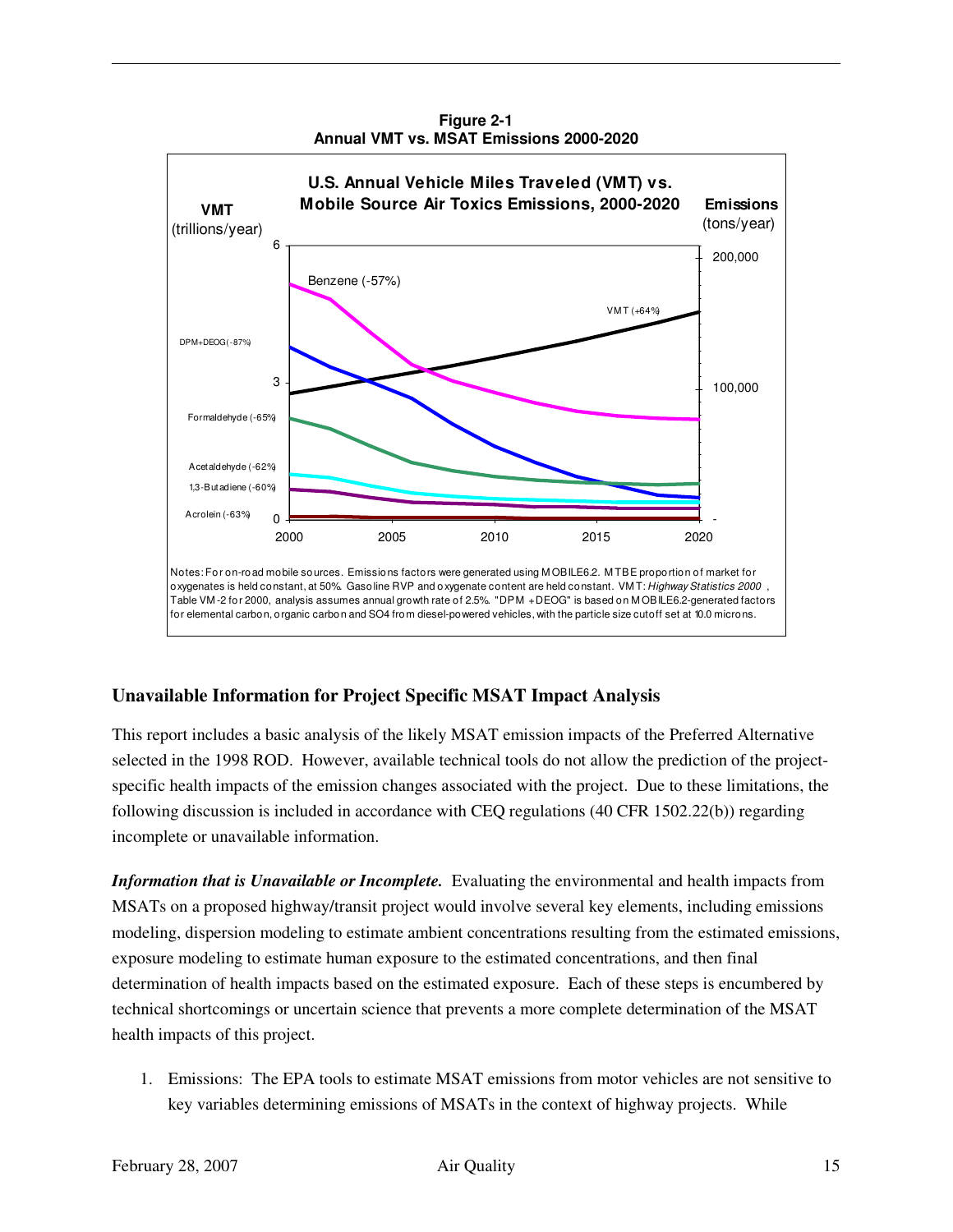

**Figure 2-1 Annual VMT vs. MSAT Emissions 2000-2020** 

#### **Unavailable Information for Project Specific MSAT Impact Analysis**

This report includes a basic analysis of the likely MSAT emission impacts of the Preferred Alternative selected in the 1998 ROD. However, available technical tools do not allow the prediction of the projectspecific health impacts of the emission changes associated with the project. Due to these limitations, the following discussion is included in accordance with CEQ regulations (40 CFR 1502.22(b)) regarding incomplete or unavailable information.

*Information that is Unavailable or Incomplete.* Evaluating the environmental and health impacts from MSATs on a proposed highway/transit project would involve several key elements, including emissions modeling, dispersion modeling to estimate ambient concentrations resulting from the estimated emissions, exposure modeling to estimate human exposure to the estimated concentrations, and then final determination of health impacts based on the estimated exposure. Each of these steps is encumbered by technical shortcomings or uncertain science that prevents a more complete determination of the MSAT health impacts of this project.

1. Emissions: The EPA tools to estimate MSAT emissions from motor vehicles are not sensitive to key variables determining emissions of MSATs in the context of highway projects. While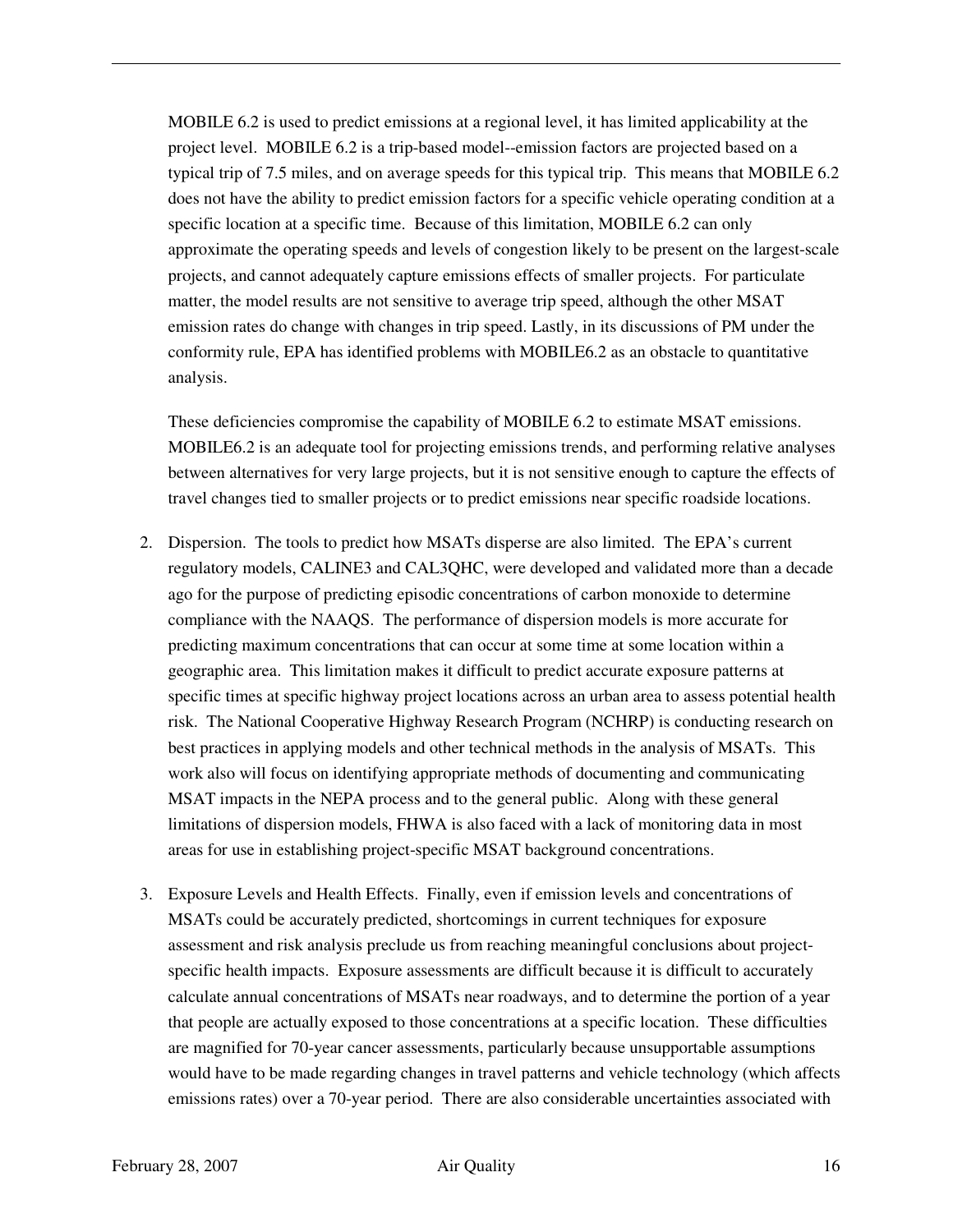MOBILE 6.2 is used to predict emissions at a regional level, it has limited applicability at the project level. MOBILE 6.2 is a trip-based model--emission factors are projected based on a typical trip of 7.5 miles, and on average speeds for this typical trip. This means that MOBILE 6.2 does not have the ability to predict emission factors for a specific vehicle operating condition at a specific location at a specific time. Because of this limitation, MOBILE 6.2 can only approximate the operating speeds and levels of congestion likely to be present on the largest-scale projects, and cannot adequately capture emissions effects of smaller projects. For particulate matter, the model results are not sensitive to average trip speed, although the other MSAT emission rates do change with changes in trip speed. Lastly, in its discussions of PM under the conformity rule, EPA has identified problems with MOBILE6.2 as an obstacle to quantitative analysis.

These deficiencies compromise the capability of MOBILE 6.2 to estimate MSAT emissions. MOBILE6.2 is an adequate tool for projecting emissions trends, and performing relative analyses between alternatives for very large projects, but it is not sensitive enough to capture the effects of travel changes tied to smaller projects or to predict emissions near specific roadside locations.

- 2. Dispersion. The tools to predict how MSATs disperse are also limited. The EPA's current regulatory models, CALINE3 and CAL3QHC, were developed and validated more than a decade ago for the purpose of predicting episodic concentrations of carbon monoxide to determine compliance with the NAAQS. The performance of dispersion models is more accurate for predicting maximum concentrations that can occur at some time at some location within a geographic area. This limitation makes it difficult to predict accurate exposure patterns at specific times at specific highway project locations across an urban area to assess potential health risk. The National Cooperative Highway Research Program (NCHRP) is conducting research on best practices in applying models and other technical methods in the analysis of MSATs. This work also will focus on identifying appropriate methods of documenting and communicating MSAT impacts in the NEPA process and to the general public. Along with these general limitations of dispersion models, FHWA is also faced with a lack of monitoring data in most areas for use in establishing project-specific MSAT background concentrations.
- 3. Exposure Levels and Health Effects. Finally, even if emission levels and concentrations of MSATs could be accurately predicted, shortcomings in current techniques for exposure assessment and risk analysis preclude us from reaching meaningful conclusions about projectspecific health impacts. Exposure assessments are difficult because it is difficult to accurately calculate annual concentrations of MSATs near roadways, and to determine the portion of a year that people are actually exposed to those concentrations at a specific location. These difficulties are magnified for 70-year cancer assessments, particularly because unsupportable assumptions would have to be made regarding changes in travel patterns and vehicle technology (which affects emissions rates) over a 70-year period. There are also considerable uncertainties associated with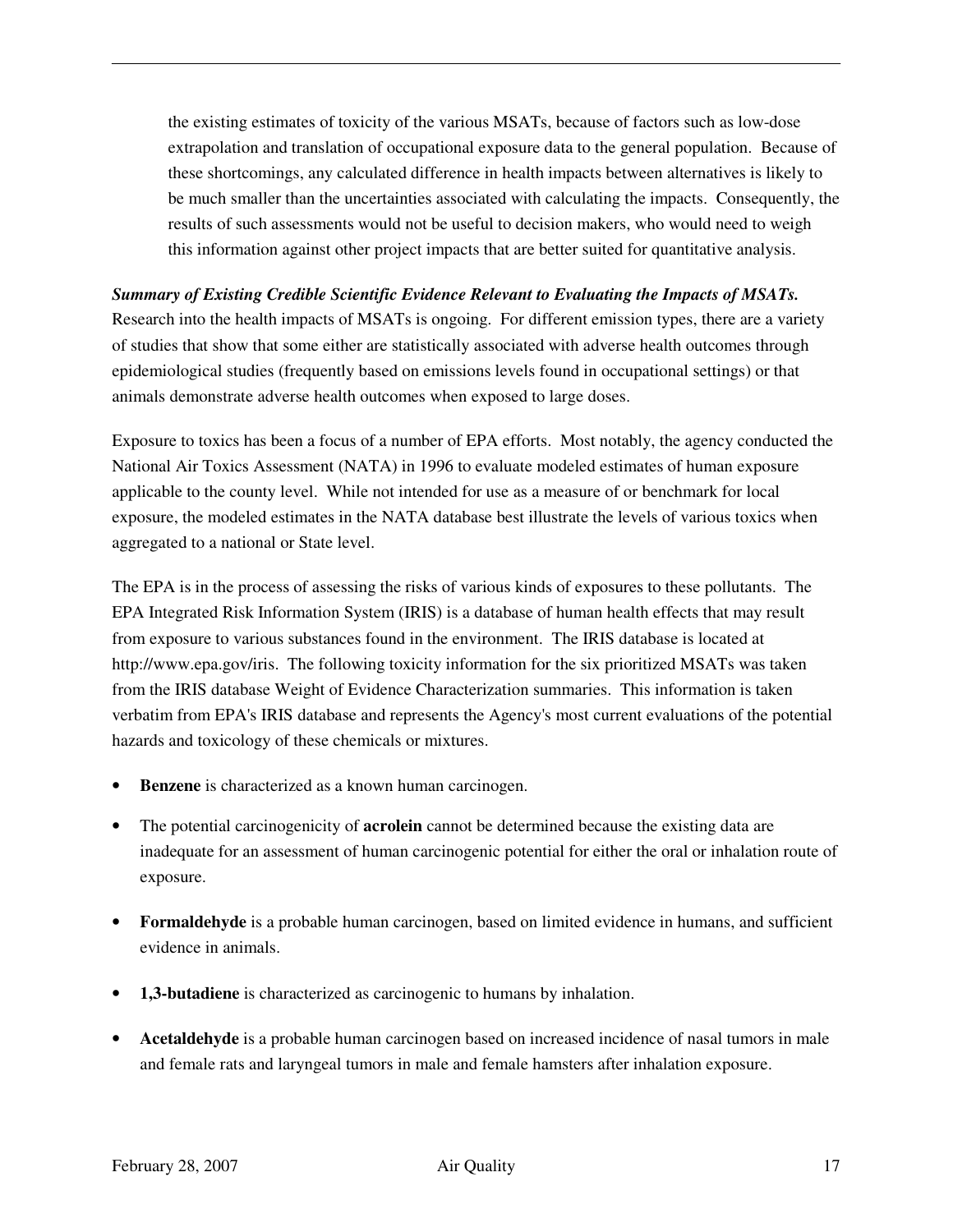the existing estimates of toxicity of the various MSATs, because of factors such as low-dose extrapolation and translation of occupational exposure data to the general population. Because of these shortcomings, any calculated difference in health impacts between alternatives is likely to be much smaller than the uncertainties associated with calculating the impacts. Consequently, the results of such assessments would not be useful to decision makers, who would need to weigh this information against other project impacts that are better suited for quantitative analysis.

#### *Summary of Existing Credible Scientific Evidence Relevant to Evaluating the Impacts of MSATs.*

Research into the health impacts of MSATs is ongoing. For different emission types, there are a variety of studies that show that some either are statistically associated with adverse health outcomes through epidemiological studies (frequently based on emissions levels found in occupational settings) or that animals demonstrate adverse health outcomes when exposed to large doses.

Exposure to toxics has been a focus of a number of EPA efforts. Most notably, the agency conducted the National Air Toxics Assessment (NATA) in 1996 to evaluate modeled estimates of human exposure applicable to the county level. While not intended for use as a measure of or benchmark for local exposure, the modeled estimates in the NATA database best illustrate the levels of various toxics when aggregated to a national or State level.

The EPA is in the process of assessing the risks of various kinds of exposures to these pollutants. The EPA Integrated Risk Information System (IRIS) is a database of human health effects that may result from exposure to various substances found in the environment. The IRIS database is located at http://www.epa.gov/iris. The following toxicity information for the six prioritized MSATs was taken from the IRIS database Weight of Evidence Characterization summaries. This information is taken verbatim from EPA's IRIS database and represents the Agency's most current evaluations of the potential hazards and toxicology of these chemicals or mixtures.

- **Benzene** is characterized as a known human carcinogen.
- The potential carcinogenicity of **acrolein** cannot be determined because the existing data are inadequate for an assessment of human carcinogenic potential for either the oral or inhalation route of exposure.
- **Formaldehyde** is a probable human carcinogen, based on limited evidence in humans, and sufficient evidence in animals.
- **1,3-butadiene** is characterized as carcinogenic to humans by inhalation.
- **Acetaldehyde** is a probable human carcinogen based on increased incidence of nasal tumors in male and female rats and laryngeal tumors in male and female hamsters after inhalation exposure.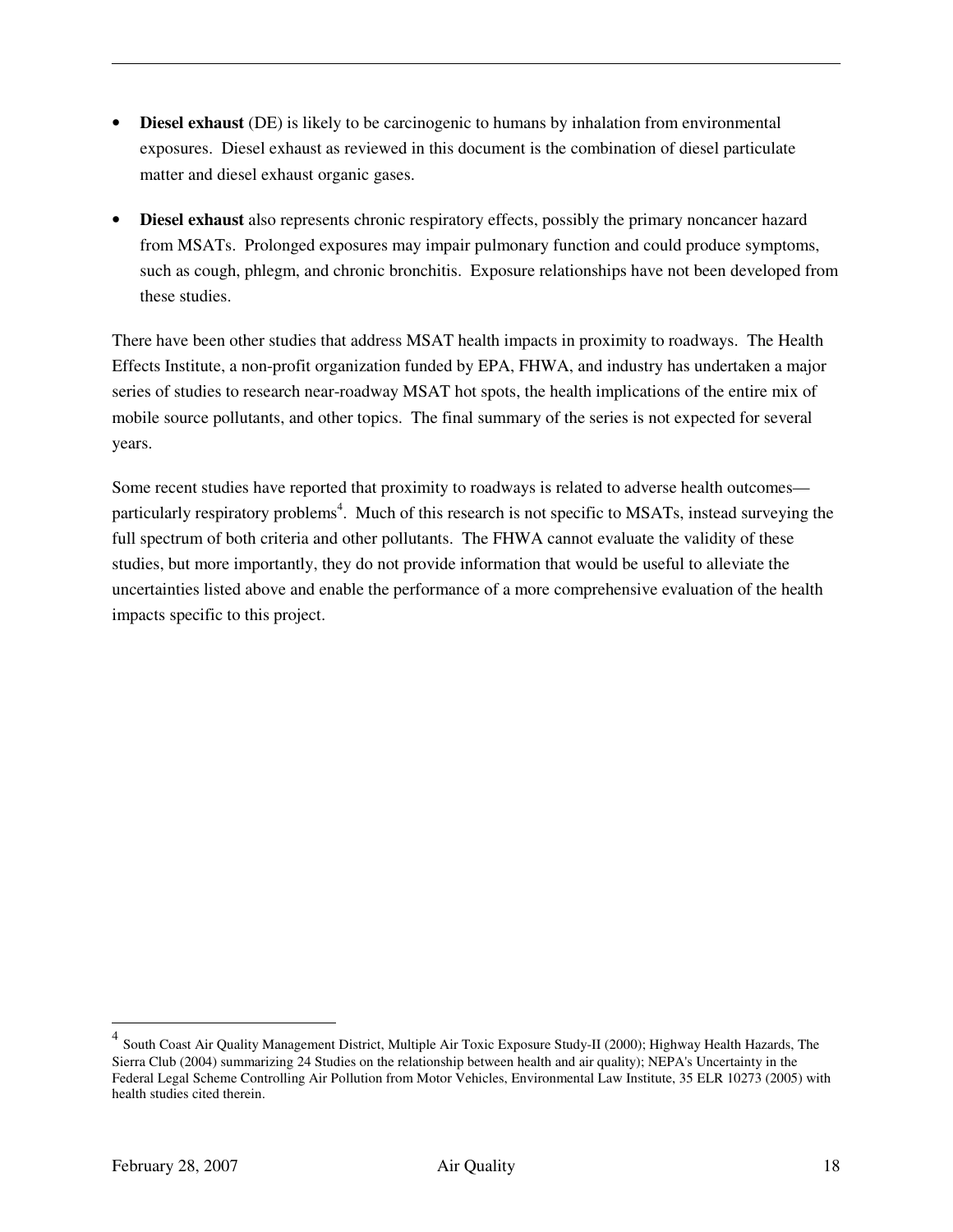- **Diesel exhaust** (DE) is likely to be carcinogenic to humans by inhalation from environmental exposures. Diesel exhaust as reviewed in this document is the combination of diesel particulate matter and diesel exhaust organic gases.
- **Diesel exhaust** also represents chronic respiratory effects, possibly the primary noncancer hazard from MSATs. Prolonged exposures may impair pulmonary function and could produce symptoms, such as cough, phlegm, and chronic bronchitis. Exposure relationships have not been developed from these studies.

There have been other studies that address MSAT health impacts in proximity to roadways. The Health Effects Institute, a non-profit organization funded by EPA, FHWA, and industry has undertaken a major series of studies to research near-roadway MSAT hot spots, the health implications of the entire mix of mobile source pollutants, and other topics. The final summary of the series is not expected for several years.

Some recent studies have reported that proximity to roadways is related to adverse health outcomes particularly respiratory problems<sup>4</sup>. Much of this research is not specific to MSATs, instead surveying the full spectrum of both criteria and other pollutants. The FHWA cannot evaluate the validity of these studies, but more importantly, they do not provide information that would be useful to alleviate the uncertainties listed above and enable the performance of a more comprehensive evaluation of the health impacts specific to this project.

 $\overline{a}$ 

<sup>4</sup> South Coast Air Quality Management District, Multiple Air Toxic Exposure Study-II (2000); Highway Health Hazards, The Sierra Club (2004) summarizing 24 Studies on the relationship between health and air quality); NEPA's Uncertainty in the Federal Legal Scheme Controlling Air Pollution from Motor Vehicles, Environmental Law Institute, 35 ELR 10273 (2005) with health studies cited therein.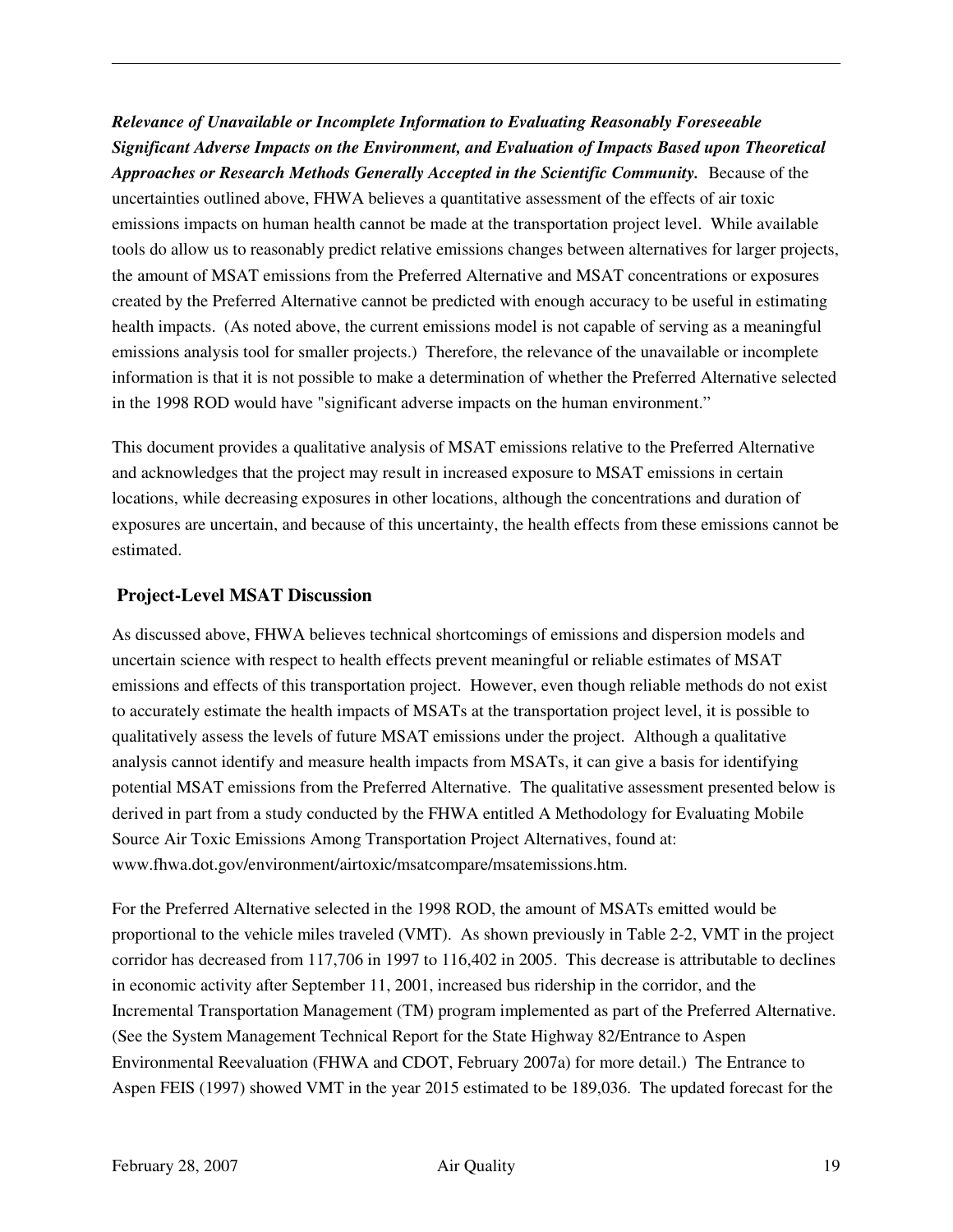*Relevance of Unavailable or Incomplete Information to Evaluating Reasonably Foreseeable Significant Adverse Impacts on the Environment, and Evaluation of Impacts Based upon Theoretical Approaches or Research Methods Generally Accepted in the Scientific Community.* Because of the uncertainties outlined above, FHWA believes a quantitative assessment of the effects of air toxic emissions impacts on human health cannot be made at the transportation project level. While available tools do allow us to reasonably predict relative emissions changes between alternatives for larger projects, the amount of MSAT emissions from the Preferred Alternative and MSAT concentrations or exposures created by the Preferred Alternative cannot be predicted with enough accuracy to be useful in estimating health impacts. (As noted above, the current emissions model is not capable of serving as a meaningful emissions analysis tool for smaller projects.) Therefore, the relevance of the unavailable or incomplete information is that it is not possible to make a determination of whether the Preferred Alternative selected in the 1998 ROD would have "significant adverse impacts on the human environment."

This document provides a qualitative analysis of MSAT emissions relative to the Preferred Alternative and acknowledges that the project may result in increased exposure to MSAT emissions in certain locations, while decreasing exposures in other locations, although the concentrations and duration of exposures are uncertain, and because of this uncertainty, the health effects from these emissions cannot be estimated.

#### **Project-Level MSAT Discussion**

As discussed above, FHWA believes technical shortcomings of emissions and dispersion models and uncertain science with respect to health effects prevent meaningful or reliable estimates of MSAT emissions and effects of this transportation project. However, even though reliable methods do not exist to accurately estimate the health impacts of MSATs at the transportation project level, it is possible to qualitatively assess the levels of future MSAT emissions under the project. Although a qualitative analysis cannot identify and measure health impacts from MSATs, it can give a basis for identifying potential MSAT emissions from the Preferred Alternative. The qualitative assessment presented below is derived in part from a study conducted by the FHWA entitled A Methodology for Evaluating Mobile Source Air Toxic Emissions Among Transportation Project Alternatives, found at: www.fhwa.dot.gov/environment/airtoxic/msatcompare/msatemissions.htm.

For the Preferred Alternative selected in the 1998 ROD, the amount of MSATs emitted would be proportional to the vehicle miles traveled (VMT). As shown previously in Table 2-2, VMT in the project corridor has decreased from 117,706 in 1997 to 116,402 in 2005. This decrease is attributable to declines in economic activity after September 11, 2001, increased bus ridership in the corridor, and the Incremental Transportation Management (TM) program implemented as part of the Preferred Alternative. (See the System Management Technical Report for the State Highway 82/Entrance to Aspen Environmental Reevaluation (FHWA and CDOT, February 2007a) for more detail.) The Entrance to Aspen FEIS (1997) showed VMT in the year 2015 estimated to be 189,036. The updated forecast for the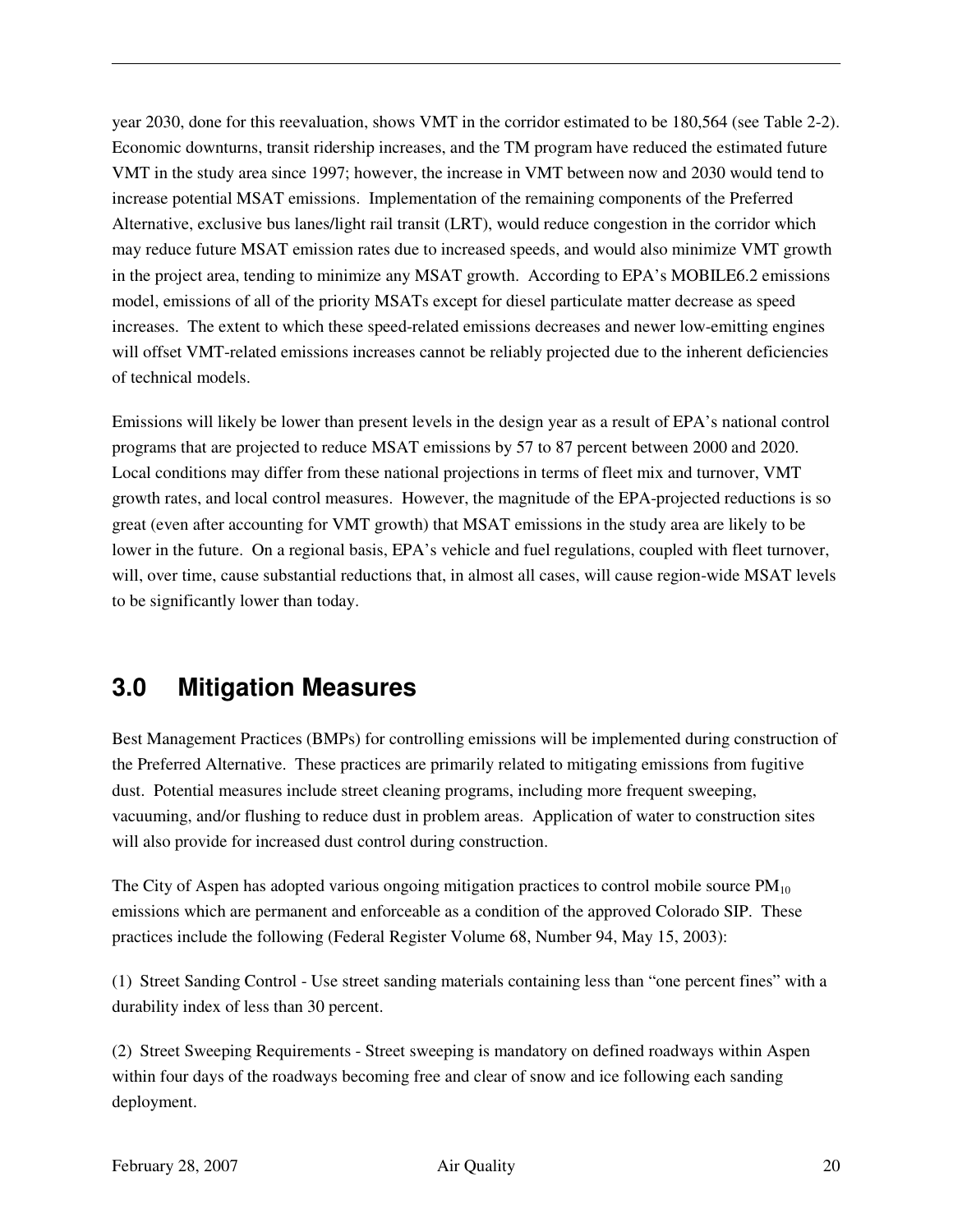year 2030, done for this reevaluation, shows VMT in the corridor estimated to be 180,564 (see Table 2-2). Economic downturns, transit ridership increases, and the TM program have reduced the estimated future VMT in the study area since 1997; however, the increase in VMT between now and 2030 would tend to increase potential MSAT emissions. Implementation of the remaining components of the Preferred Alternative, exclusive bus lanes/light rail transit (LRT), would reduce congestion in the corridor which may reduce future MSAT emission rates due to increased speeds, and would also minimize VMT growth in the project area, tending to minimize any MSAT growth. According to EPA's MOBILE6.2 emissions model, emissions of all of the priority MSATs except for diesel particulate matter decrease as speed increases. The extent to which these speed-related emissions decreases and newer low-emitting engines will offset VMT-related emissions increases cannot be reliably projected due to the inherent deficiencies of technical models.

Emissions will likely be lower than present levels in the design year as a result of EPA's national control programs that are projected to reduce MSAT emissions by 57 to 87 percent between 2000 and 2020. Local conditions may differ from these national projections in terms of fleet mix and turnover, VMT growth rates, and local control measures. However, the magnitude of the EPA-projected reductions is so great (even after accounting for VMT growth) that MSAT emissions in the study area are likely to be lower in the future. On a regional basis, EPA's vehicle and fuel regulations, coupled with fleet turnover, will, over time, cause substantial reductions that, in almost all cases, will cause region-wide MSAT levels to be significantly lower than today.

## **3.0 Mitigation Measures**

Best Management Practices (BMPs) for controlling emissions will be implemented during construction of the Preferred Alternative. These practices are primarily related to mitigating emissions from fugitive dust. Potential measures include street cleaning programs, including more frequent sweeping, vacuuming, and/or flushing to reduce dust in problem areas. Application of water to construction sites will also provide for increased dust control during construction.

The City of Aspen has adopted various ongoing mitigation practices to control mobile source  $PM_{10}$ emissions which are permanent and enforceable as a condition of the approved Colorado SIP. These practices include the following (Federal Register Volume 68, Number 94, May 15, 2003):

(1) Street Sanding Control - Use street sanding materials containing less than "one percent fines" with a durability index of less than 30 percent.

(2) Street Sweeping Requirements - Street sweeping is mandatory on defined roadways within Aspen within four days of the roadways becoming free and clear of snow and ice following each sanding deployment.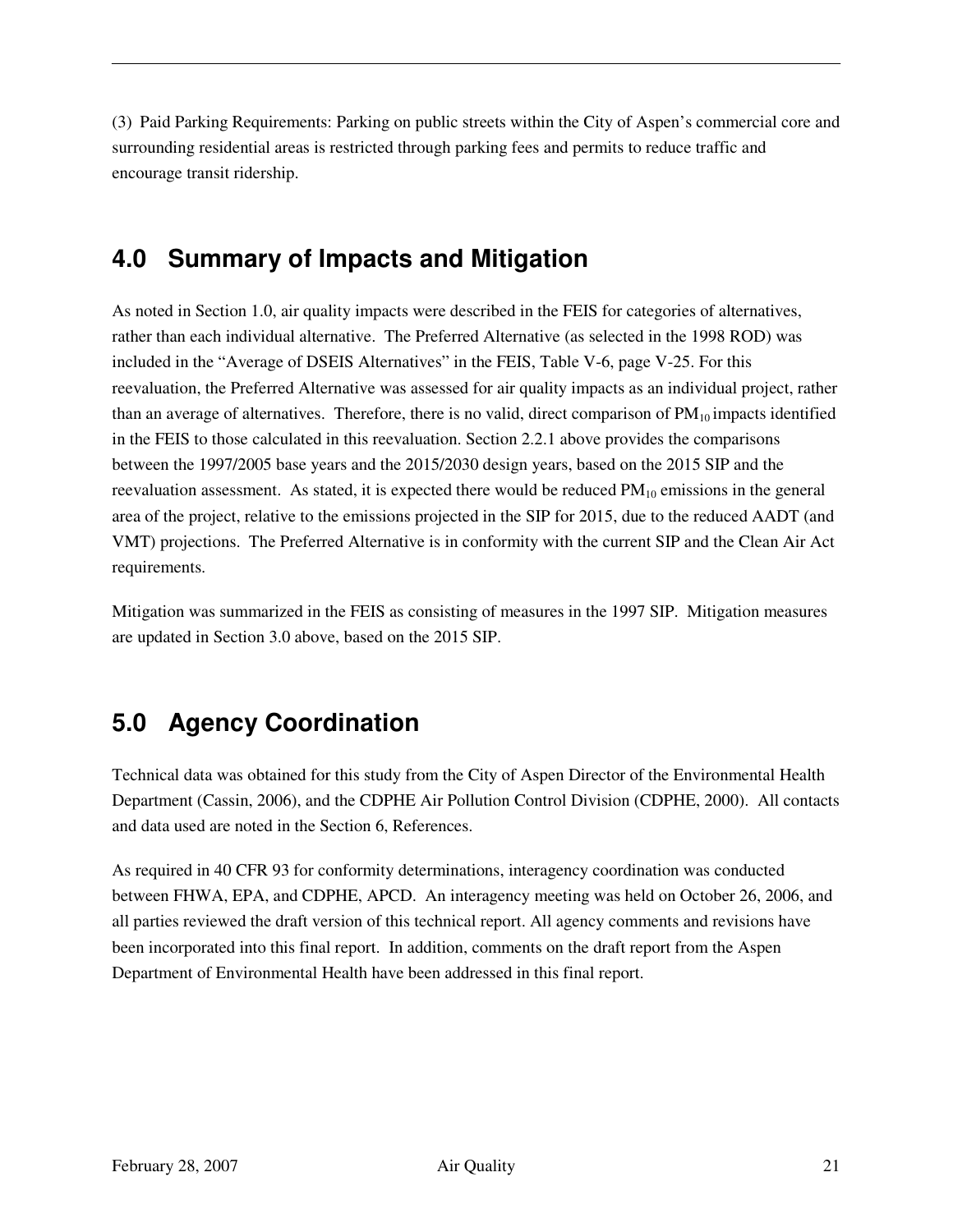(3) Paid Parking Requirements: Parking on public streets within the City of Aspen's commercial core and surrounding residential areas is restricted through parking fees and permits to reduce traffic and encourage transit ridership.

## **4.0 Summary of Impacts and Mitigation**

As noted in Section 1.0, air quality impacts were described in the FEIS for categories of alternatives, rather than each individual alternative. The Preferred Alternative (as selected in the 1998 ROD) was included in the "Average of DSEIS Alternatives" in the FEIS, Table V-6, page V-25. For this reevaluation, the Preferred Alternative was assessed for air quality impacts as an individual project, rather than an average of alternatives. Therefore, there is no valid, direct comparison of  $PM_{10}$  impacts identified in the FEIS to those calculated in this reevaluation. Section 2.2.1 above provides the comparisons between the 1997/2005 base years and the 2015/2030 design years, based on the 2015 SIP and the reevaluation assessment. As stated, it is expected there would be reduced  $PM<sub>10</sub>$  emissions in the general area of the project, relative to the emissions projected in the SIP for 2015, due to the reduced AADT (and VMT) projections. The Preferred Alternative is in conformity with the current SIP and the Clean Air Act requirements.

Mitigation was summarized in the FEIS as consisting of measures in the 1997 SIP. Mitigation measures are updated in Section 3.0 above, based on the 2015 SIP.

## **5.0 Agency Coordination**

Technical data was obtained for this study from the City of Aspen Director of the Environmental Health Department (Cassin, 2006), and the CDPHE Air Pollution Control Division (CDPHE, 2000). All contacts and data used are noted in the Section 6, References.

As required in 40 CFR 93 for conformity determinations, interagency coordination was conducted between FHWA, EPA, and CDPHE, APCD. An interagency meeting was held on October 26, 2006, and all parties reviewed the draft version of this technical report. All agency comments and revisions have been incorporated into this final report. In addition, comments on the draft report from the Aspen Department of Environmental Health have been addressed in this final report.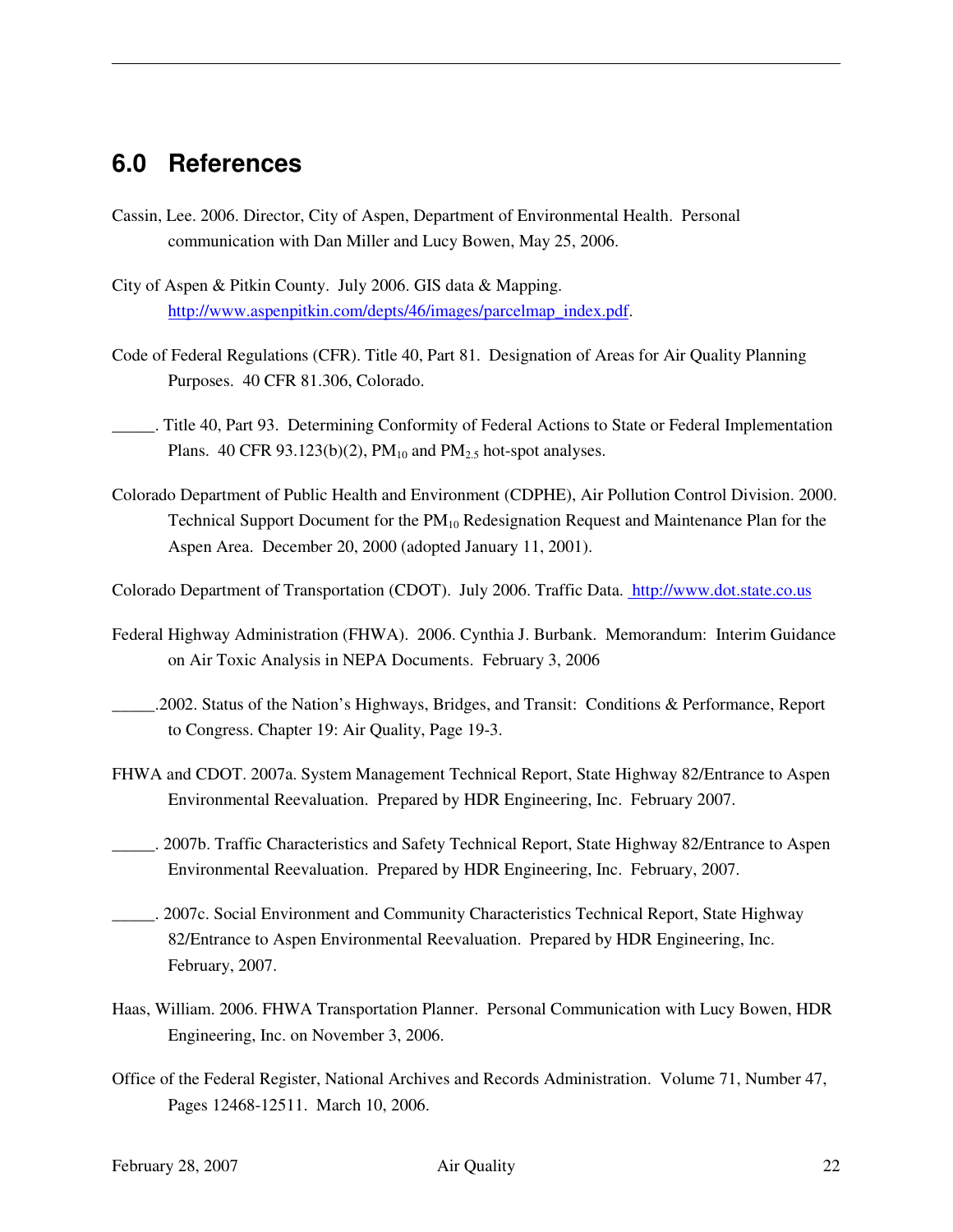### **6.0 References**

- Cassin, Lee. 2006. Director, City of Aspen, Department of Environmental Health. Personal communication with Dan Miller and Lucy Bowen, May 25, 2006.
- City of Aspen & Pitkin County. July 2006. GIS data & Mapping. http://www.aspenpitkin.com/depts/46/images/parcelmap\_index.pdf.
- Code of Federal Regulations (CFR). Title 40, Part 81. Designation of Areas for Air Quality Planning Purposes. 40 CFR 81.306, Colorado.
- \_\_\_\_\_. Title 40, Part 93. Determining Conformity of Federal Actions to State or Federal Implementation Plans. 40 CFR 93.123(b)(2),  $PM_{10}$  and  $PM_{2.5}$  hot-spot analyses.
- Colorado Department of Public Health and Environment (CDPHE), Air Pollution Control Division. 2000. Technical Support Document for the  $PM_{10}$  Redesignation Request and Maintenance Plan for the Aspen Area. December 20, 2000 (adopted January 11, 2001).
- Colorado Department of Transportation (CDOT). July 2006. Traffic Data. http://www.dot.state.co.us
- Federal Highway Administration (FHWA). 2006. Cynthia J. Burbank. Memorandum: Interim Guidance on Air Toxic Analysis in NEPA Documents. February 3, 2006
- \_\_\_\_\_.2002. Status of the Nation's Highways, Bridges, and Transit: Conditions & Performance, Report to Congress. Chapter 19: Air Quality, Page 19-3.
- FHWA and CDOT. 2007a. System Management Technical Report, State Highway 82/Entrance to Aspen Environmental Reevaluation. Prepared by HDR Engineering, Inc. February 2007.
- \_\_\_\_\_. 2007b. Traffic Characteristics and Safety Technical Report, State Highway 82/Entrance to Aspen Environmental Reevaluation. Prepared by HDR Engineering, Inc. February, 2007.
- \_\_\_\_\_. 2007c. Social Environment and Community Characteristics Technical Report, State Highway 82/Entrance to Aspen Environmental Reevaluation. Prepared by HDR Engineering, Inc. February, 2007.
- Haas, William. 2006. FHWA Transportation Planner. Personal Communication with Lucy Bowen, HDR Engineering, Inc. on November 3, 2006.
- Office of the Federal Register, National Archives and Records Administration. Volume 71, Number 47, Pages 12468-12511. March 10, 2006.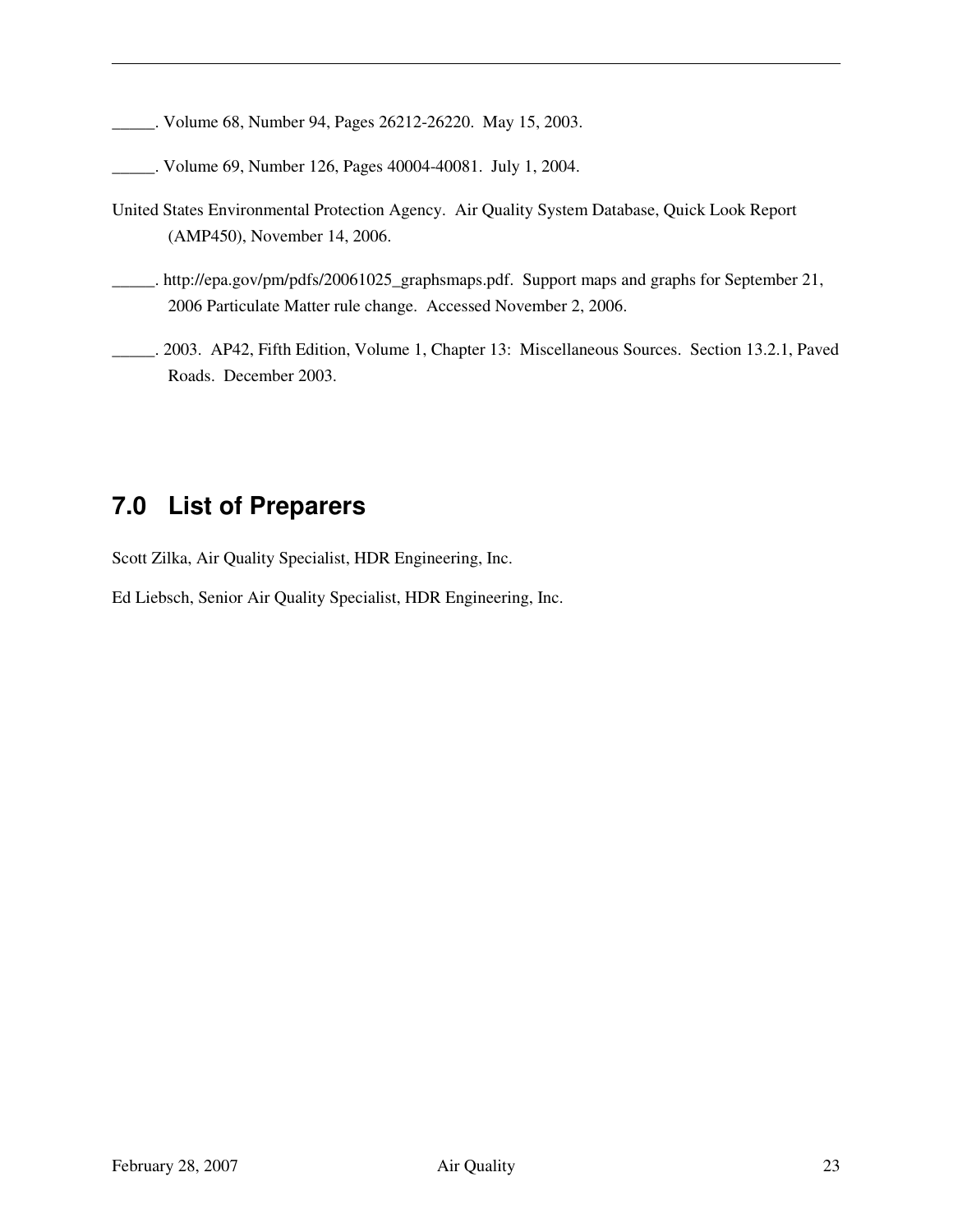\_\_\_\_\_. Volume 68, Number 94, Pages 26212-26220. May 15, 2003.

- \_\_\_\_\_. Volume 69, Number 126, Pages 40004-40081. July 1, 2004.
- United States Environmental Protection Agency. Air Quality System Database, Quick Look Report (AMP450), November 14, 2006.
- \_\_\_\_\_. http://epa.gov/pm/pdfs/20061025\_graphsmaps.pdf. Support maps and graphs for September 21, 2006 Particulate Matter rule change. Accessed November 2, 2006.
- \_\_\_\_\_. 2003. AP42, Fifth Edition, Volume 1, Chapter 13: Miscellaneous Sources. Section 13.2.1, Paved Roads. December 2003.

## **7.0 List of Preparers**

Scott Zilka, Air Quality Specialist, HDR Engineering, Inc.

Ed Liebsch, Senior Air Quality Specialist, HDR Engineering, Inc.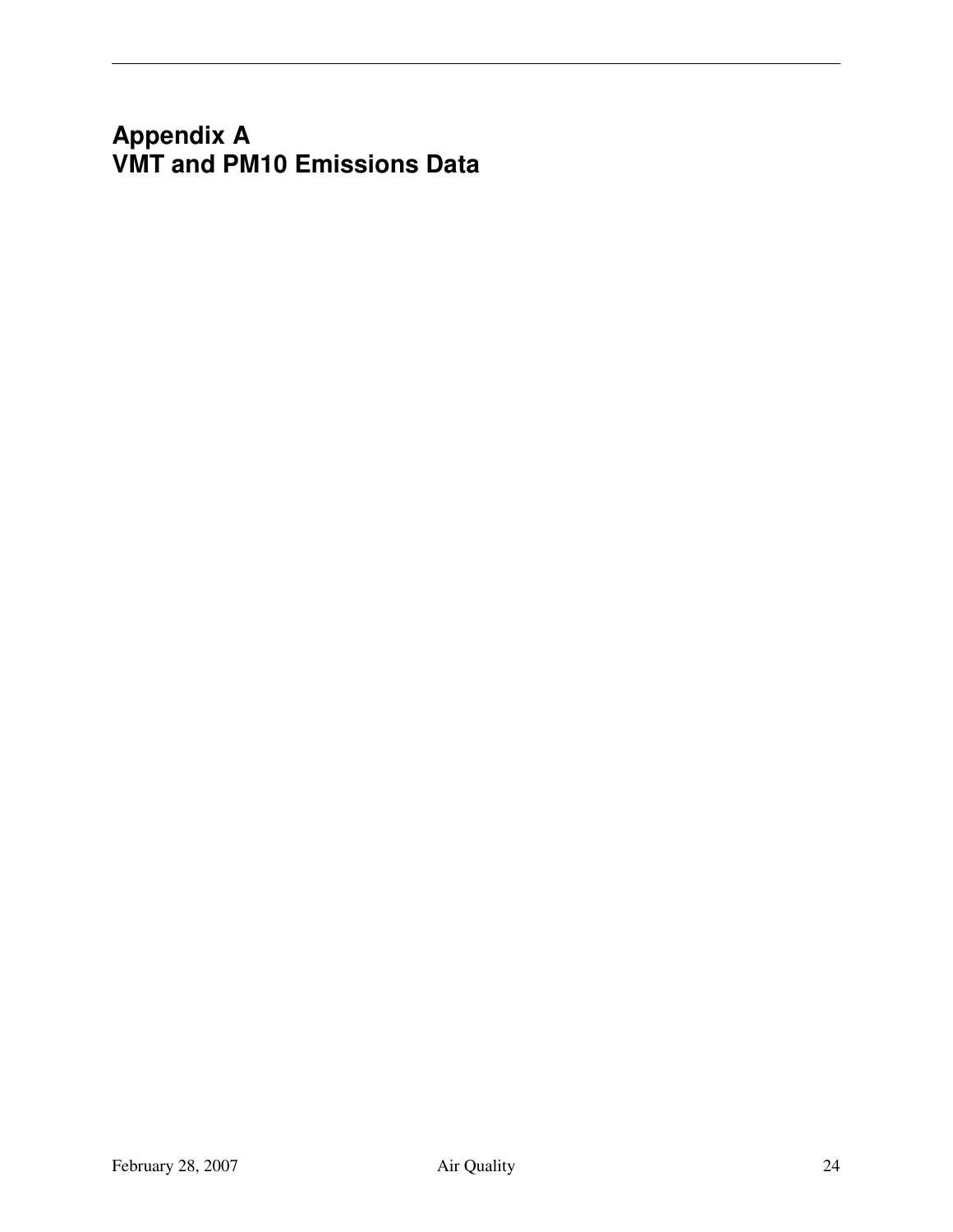## **Appendix A VMT and PM10 Emissions Data**